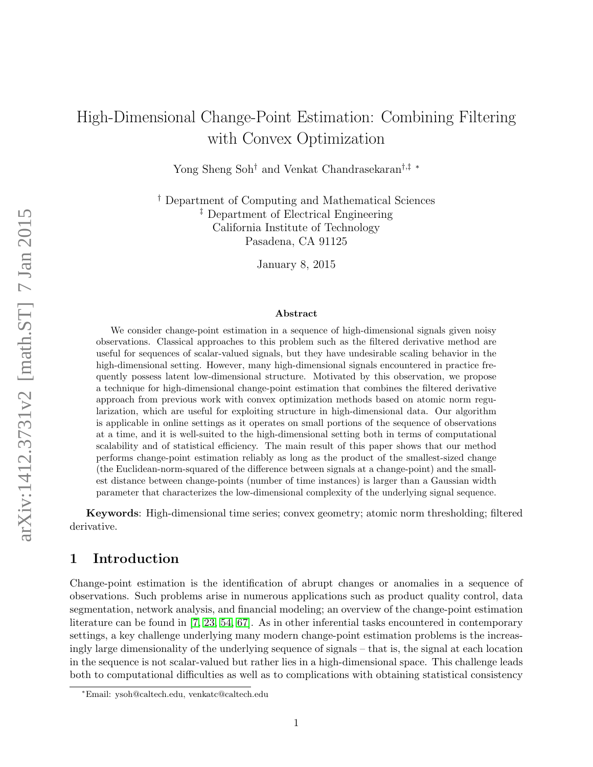# High-Dimensional Change-Point Estimation: Combining Filtering with Convex Optimization

Yong Sheng Soh† and Venkat Chandrasekaran†,‡ ∗

† Department of Computing and Mathematical Sciences ‡ Department of Electrical Engineering California Institute of Technology Pasadena, CA 91125

January 8, 2015

#### Abstract

We consider change-point estimation in a sequence of high-dimensional signals given noisy observations. Classical approaches to this problem such as the filtered derivative method are useful for sequences of scalar-valued signals, but they have undesirable scaling behavior in the high-dimensional setting. However, many high-dimensional signals encountered in practice frequently possess latent low-dimensional structure. Motivated by this observation, we propose a technique for high-dimensional change-point estimation that combines the filtered derivative approach from previous work with convex optimization methods based on atomic norm regularization, which are useful for exploiting structure in high-dimensional data. Our algorithm is applicable in online settings as it operates on small portions of the sequence of observations at a time, and it is well-suited to the high-dimensional setting both in terms of computational scalability and of statistical efficiency. The main result of this paper shows that our method performs change-point estimation reliably as long as the product of the smallest-sized change (the Euclidean-norm-squared of the difference between signals at a change-point) and the smallest distance between change-points (number of time instances) is larger than a Gaussian width parameter that characterizes the low-dimensional complexity of the underlying signal sequence.

Keywords: High-dimensional time series; convex geometry; atomic norm thresholding; filtered derivative.

# 1 Introduction

Change-point estimation is the identification of abrupt changes or anomalies in a sequence of observations. Such problems arise in numerous applications such as product quality control, data segmentation, network analysis, and financial modeling; an overview of the change-point estimation literature can be found in [\[7,](#page-16-0) [23,](#page-17-0) [54,](#page-19-0) [67\]](#page-19-1). As in other inferential tasks encountered in contemporary settings, a key challenge underlying many modern change-point estimation problems is the increasingly large dimensionality of the underlying sequence of signals – that is, the signal at each location in the sequence is not scalar-valued but rather lies in a high-dimensional space. This challenge leads both to computational difficulties as well as to complications with obtaining statistical consistency

<sup>∗</sup>Email: ysoh@caltech.edu, venkatc@caltech.edu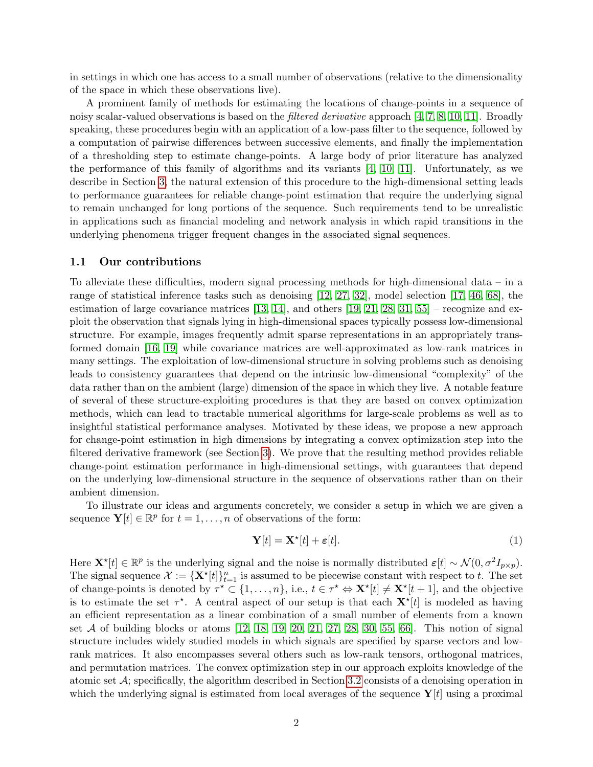in settings in which one has access to a small number of observations (relative to the dimensionality of the space in which these observations live).

A prominent family of methods for estimating the locations of change-points in a sequence of noisy scalar-valued observations is based on the filtered derivative approach [\[4,](#page-16-1) [7,](#page-16-0) [8,](#page-16-2) [10,](#page-16-3) [11\]](#page-16-4). Broadly speaking, these procedures begin with an application of a low-pass filter to the sequence, followed by a computation of pairwise differences between successive elements, and finally the implementation of a thresholding step to estimate change-points. A large body of prior literature has analyzed the performance of this family of algorithms and its variants [\[4,](#page-16-1) [10,](#page-16-3) [11\]](#page-16-4). Unfortunately, as we describe in Section [3,](#page-5-0) the natural extension of this procedure to the high-dimensional setting leads to performance guarantees for reliable change-point estimation that require the underlying signal to remain unchanged for long portions of the sequence. Such requirements tend to be unrealistic in applications such as financial modeling and network analysis in which rapid transitions in the underlying phenomena trigger frequent changes in the associated signal sequences.

#### 1.1 Our contributions

To alleviate these difficulties, modern signal processing methods for high-dimensional data – in a range of statistical inference tasks such as denoising [\[12,](#page-16-5) [27,](#page-17-1) [32\]](#page-17-2), model selection [\[17,](#page-16-6) [46,](#page-18-0) [68\]](#page-19-2), the estimation of large covariance matrices  $[13, 14]$  $[13, 14]$ , and others  $[19, 21, 28, 31, 55]$  $[19, 21, 28, 31, 55]$  $[19, 21, 28, 31, 55]$  $[19, 21, 28, 31, 55]$  $[19, 21, 28, 31, 55]$  – recognize and exploit the observation that signals lying in high-dimensional spaces typically possess low-dimensional structure. For example, images frequently admit sparse representations in an appropriately transformed domain [\[16,](#page-16-9) [19\]](#page-17-3) while covariance matrices are well-approximated as low-rank matrices in many settings. The exploitation of low-dimensional structure in solving problems such as denoising leads to consistency guarantees that depend on the intrinsic low-dimensional "complexity" of the data rather than on the ambient (large) dimension of the space in which they live. A notable feature of several of these structure-exploiting procedures is that they are based on convex optimization methods, which can lead to tractable numerical algorithms for large-scale problems as well as to insightful statistical performance analyses. Motivated by these ideas, we propose a new approach for change-point estimation in high dimensions by integrating a convex optimization step into the filtered derivative framework (see Section [3\)](#page-5-0). We prove that the resulting method provides reliable change-point estimation performance in high-dimensional settings, with guarantees that depend on the underlying low-dimensional structure in the sequence of observations rather than on their ambient dimension.

To illustrate our ideas and arguments concretely, we consider a setup in which we are given a sequence  $\mathbf{Y}[t] \in \mathbb{R}^p$  for  $t = 1, \ldots, n$  of observations of the form:

$$
\mathbf{Y}[t] = \mathbf{X}^{\star}[t] + \varepsilon[t]. \tag{1}
$$

Here  $\mathbf{X}^{\star}[t] \in \mathbb{R}^{p}$  is the underlying signal and the noise is normally distributed  $\varepsilon[t] \sim \mathcal{N}(0, \sigma^{2}I_{p \times p})$ . The signal sequence  $\mathcal{X} := {\mathbf{X}^{\star}[t]}_{t=1}^{n}$  is assumed to be piecewise constant with respect to t. The set of change-points is denoted by  $\tau^* \subset \{1, \ldots, n\}$ , i.e.,  $t \in \tau^* \Leftrightarrow \mathbf{X}^* [t] \neq \mathbf{X}^* [t+1]$ , and the objective is to estimate the set  $\tau^*$ . A central aspect of our setup is that each  $\mathbf{X}^{\star}[t]$  is modeled as having an efficient representation as a linear combination of a small number of elements from a known set  $A$  of building blocks or atoms  $[12, 18, 19, 20, 21, 27, 28, 30, 55, 66]$  $[12, 18, 19, 20, 21, 27, 28, 30, 55, 66]$  $[12, 18, 19, 20, 21, 27, 28, 30, 55, 66]$  $[12, 18, 19, 20, 21, 27, 28, 30, 55, 66]$  $[12, 18, 19, 20, 21, 27, 28, 30, 55, 66]$  $[12, 18, 19, 20, 21, 27, 28, 30, 55, 66]$  $[12, 18, 19, 20, 21, 27, 28, 30, 55, 66]$  $[12, 18, 19, 20, 21, 27, 28, 30, 55, 66]$  $[12, 18, 19, 20, 21, 27, 28, 30, 55, 66]$  $[12, 18, 19, 20, 21, 27, 28, 30, 55, 66]$ . This notion of signal structure includes widely studied models in which signals are specified by sparse vectors and lowrank matrices. It also encompasses several others such as low-rank tensors, orthogonal matrices, and permutation matrices. The convex optimization step in our approach exploits knowledge of the atomic set  $A$ ; specifically, the algorithm described in Section [3.2](#page-6-0) consists of a denoising operation in which the underlying signal is estimated from local averages of the sequence  $Y[t]$  using a proximal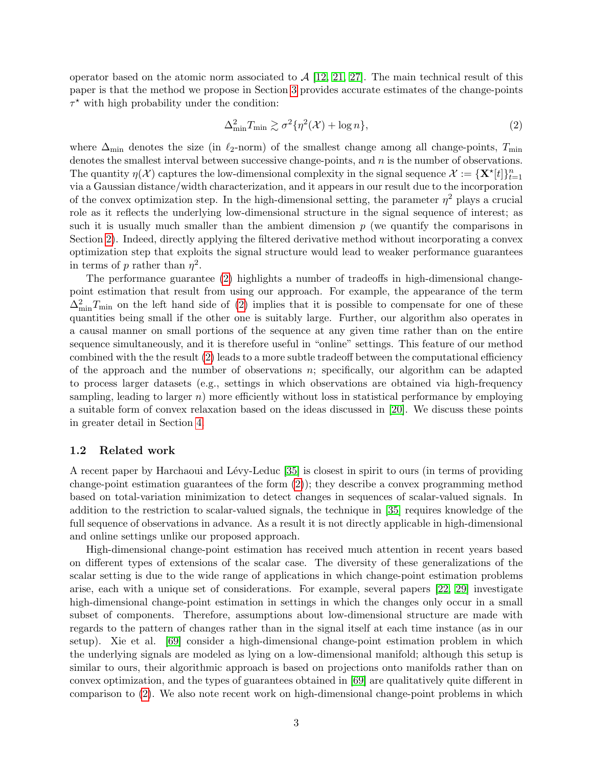operator based on the atomic norm associated to  $\mathcal{A}$  [\[12,](#page-16-5) [21,](#page-17-4) [27\]](#page-17-1). The main technical result of this paper is that the method we propose in Section [3](#page-5-0) provides accurate estimates of the change-points  $\tau^*$  with high probability under the condition:

<span id="page-2-0"></span>
$$
\Delta_{\min}^2 T_{\min} \gtrsim \sigma^2 \{ \eta^2(\mathcal{X}) + \log n \},\tag{2}
$$

where  $\Delta_{\text{min}}$  denotes the size (in  $\ell_2$ -norm) of the smallest change among all change-points,  $T_{\text{min}}$ denotes the smallest interval between successive change-points, and n is the number of observations. The quantity  $\eta(\mathcal{X})$  captures the low-dimensional complexity in the signal sequence  $\mathcal{X} := {\mathbf{X}^{\star}[t]}_{t=1}^{n}$ via a Gaussian distance/width characterization, and it appears in our result due to the incorporation of the convex optimization step. In the high-dimensional setting, the parameter  $\eta^2$  plays a crucial role as it reflects the underlying low-dimensional structure in the signal sequence of interest; as such it is usually much smaller than the ambient dimension  $p$  (we quantify the comparisons in Section [2\)](#page-3-0). Indeed, directly applying the filtered derivative method without incorporating a convex optimization step that exploits the signal structure would lead to weaker performance guarantees in terms of p rather than  $\eta^2$ .

The performance guarantee [\(2\)](#page-2-0) highlights a number of tradeoffs in high-dimensional changepoint estimation that result from using our approach. For example, the appearance of the term  $\Delta_{\min}^2 T_{\min}$  on the left hand side of [\(2\)](#page-2-0) implies that it is possible to compensate for one of these quantities being small if the other one is suitably large. Further, our algorithm also operates in a causal manner on small portions of the sequence at any given time rather than on the entire sequence simultaneously, and it is therefore useful in "online" settings. This feature of our method combined with the the result [\(2\)](#page-2-0) leads to a more subtle tradeoff between the computational efficiency of the approach and the number of observations  $n$ ; specifically, our algorithm can be adapted to process larger datasets (e.g., settings in which observations are obtained via high-frequency sampling, leading to larger  $n$ ) more efficiently without loss in statistical performance by employing a suitable form of convex relaxation based on the ideas discussed in [\[20\]](#page-17-7). We discuss these points in greater detail in Section [4.](#page-9-0)

### 1.2 Related work

A recent paper by Harchaoui and Lévy-Leduc [\[35\]](#page-17-9) is closest in spirit to ours (in terms of providing change-point estimation guarantees of the form [\(2\)](#page-2-0)); they describe a convex programming method based on total-variation minimization to detect changes in sequences of scalar-valued signals. In addition to the restriction to scalar-valued signals, the technique in [\[35\]](#page-17-9) requires knowledge of the full sequence of observations in advance. As a result it is not directly applicable in high-dimensional and online settings unlike our proposed approach.

High-dimensional change-point estimation has received much attention in recent years based on different types of extensions of the scalar case. The diversity of these generalizations of the scalar setting is due to the wide range of applications in which change-point estimation problems arise, each with a unique set of considerations. For example, several papers [\[22,](#page-17-10) [29\]](#page-17-11) investigate high-dimensional change-point estimation in settings in which the changes only occur in a small subset of components. Therefore, assumptions about low-dimensional structure are made with regards to the pattern of changes rather than in the signal itself at each time instance (as in our setup). Xie et al. [\[69\]](#page-19-5) consider a high-dimensional change-point estimation problem in which the underlying signals are modeled as lying on a low-dimensional manifold; although this setup is similar to ours, their algorithmic approach is based on projections onto manifolds rather than on convex optimization, and the types of guarantees obtained in [\[69\]](#page-19-5) are qualitatively quite different in comparison to [\(2\)](#page-2-0). We also note recent work on high-dimensional change-point problems in which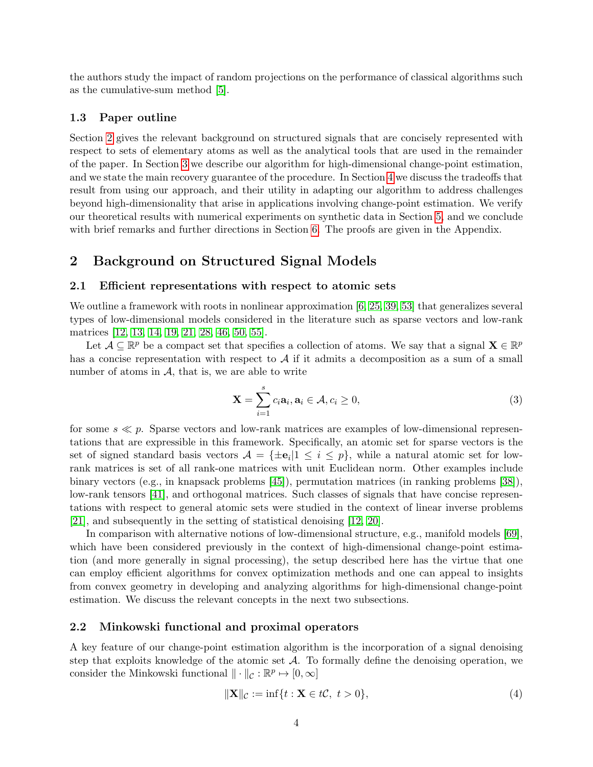the authors study the impact of random projections on the performance of classical algorithms such as the cumulative-sum method [\[5\]](#page-16-11).

### 1.3 Paper outline

Section [2](#page-3-0) gives the relevant background on structured signals that are concisely represented with respect to sets of elementary atoms as well as the analytical tools that are used in the remainder of the paper. In Section [3](#page-5-0) we describe our algorithm for high-dimensional change-point estimation, and we state the main recovery guarantee of the procedure. In Section [4](#page-9-0) we discuss the tradeoffs that result from using our approach, and their utility in adapting our algorithm to address challenges beyond high-dimensionality that arise in applications involving change-point estimation. We verify our theoretical results with numerical experiments on synthetic data in Section [5,](#page-13-0) and we conclude with brief remarks and further directions in Section [6.](#page-15-0) The proofs are given in the Appendix.

# <span id="page-3-0"></span>2 Background on Structured Signal Models

#### 2.1 Efficient representations with respect to atomic sets

We outline a framework with roots in nonlinear approximation [\[6,](#page-16-12) [25,](#page-17-12) [39,](#page-18-1) [53\]](#page-19-6) that generalizes several types of low-dimensional models considered in the literature such as sparse vectors and low-rank matrices [\[12,](#page-16-5) [13,](#page-16-7) [14,](#page-16-8) [19,](#page-17-3) [21,](#page-17-4) [28,](#page-17-5) [46,](#page-18-0) [50,](#page-18-2) [55\]](#page-19-3).

Let  $\mathcal{A} \subseteq \mathbb{R}^p$  be a compact set that specifies a collection of atoms. We say that a signal  $\mathbf{X} \in \mathbb{R}^p$ has a concise representation with respect to  $A$  if it admits a decomposition as a sum of a small number of atoms in  $A$ , that is, we are able to write

$$
\mathbf{X} = \sum_{i=1}^{s} c_i \mathbf{a}_i, \mathbf{a}_i \in \mathcal{A}, c_i \ge 0,
$$
\n(3)

for some  $s \ll p$ . Sparse vectors and low-rank matrices are examples of low-dimensional representations that are expressible in this framework. Specifically, an atomic set for sparse vectors is the set of signed standard basis vectors  $A = {\pm \mathbf{e}_i | 1 \le i \le p}$ , while a natural atomic set for lowrank matrices is set of all rank-one matrices with unit Euclidean norm. Other examples include binary vectors (e.g., in knapsack problems [\[45\]](#page-18-3)), permutation matrices (in ranking problems [\[38\]](#page-18-4)), low-rank tensors [\[41\]](#page-18-5), and orthogonal matrices. Such classes of signals that have concise representations with respect to general atomic sets were studied in the context of linear inverse problems [\[21\]](#page-17-4), and subsequently in the setting of statistical denoising [\[12,](#page-16-5) [20\]](#page-17-7).

In comparison with alternative notions of low-dimensional structure, e.g., manifold models [\[69\]](#page-19-5), which have been considered previously in the context of high-dimensional change-point estimation (and more generally in signal processing), the setup described here has the virtue that one can employ efficient algorithms for convex optimization methods and one can appeal to insights from convex geometry in developing and analyzing algorithms for high-dimensional change-point estimation. We discuss the relevant concepts in the next two subsections.

#### <span id="page-3-2"></span>2.2 Minkowski functional and proximal operators

A key feature of our change-point estimation algorithm is the incorporation of a signal denoising step that exploits knowledge of the atomic set  $A$ . To formally define the denoising operation, we consider the Minkowski functional  $\|\cdot\|_{\mathcal{C}} : \mathbb{R}^p \mapsto [0, \infty]$ 

<span id="page-3-1"></span>
$$
\|\mathbf{X}\|_{\mathcal{C}} := \inf\{t : \mathbf{X} \in t\mathcal{C}, \ t > 0\},\tag{4}
$$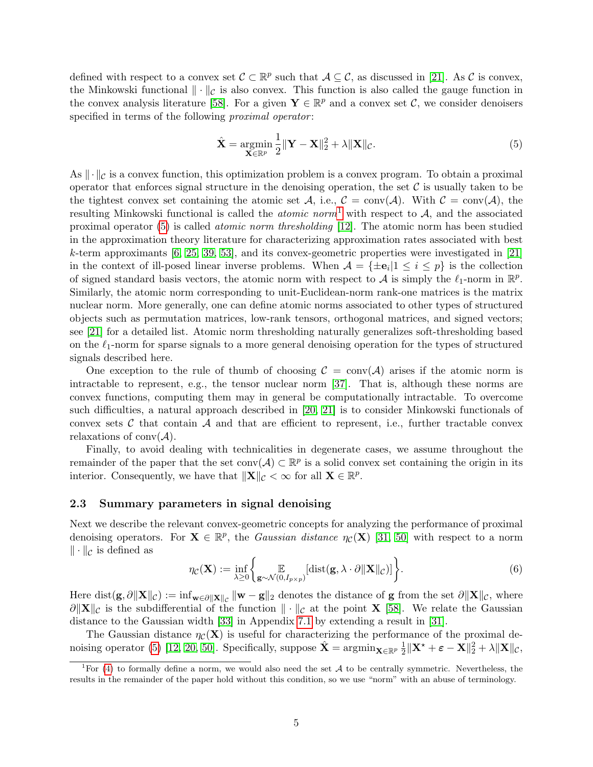defined with respect to a convex set  $\mathcal{C} \subset \mathbb{R}^p$  such that  $\mathcal{A} \subseteq \mathcal{C}$ , as discussed in [\[21\]](#page-17-4). As C is convex, the Minkowski functional  $\|\cdot\|_{\mathcal{C}}$  is also convex. This function is also called the gauge function in the convex analysis literature [\[58\]](#page-19-7). For a given  $\mathbf{Y} \in \mathbb{R}^p$  and a convex set C, we consider denoisers specified in terms of the following *proximal operator*:

<span id="page-4-1"></span>
$$
\hat{\mathbf{X}} = \underset{\mathbf{X} \in \mathbb{R}^p}{\operatorname{argmin}} \frac{1}{2} \|\mathbf{Y} - \mathbf{X}\|_2^2 + \lambda \|\mathbf{X}\|_{\mathcal{C}}.\tag{5}
$$

As  $\|\cdot\|_{\mathcal{C}}$  is a convex function, this optimization problem is a convex program. To obtain a proximal operator that enforces signal structure in the denoising operation, the set  $\mathcal C$  is usually taken to be the tightest convex set containing the atomic set A, i.e.,  $C = \text{conv}(\mathcal{A})$ . With  $C = \text{conv}(\mathcal{A})$ , the resulting Minkowski functional is called the *atomic norm*<sup>[1](#page-4-0)</sup> with respect to  $A$ , and the associated proximal operator [\(5\)](#page-4-1) is called atomic norm thresholding [\[12\]](#page-16-5). The atomic norm has been studied in the approximation theory literature for characterizing approximation rates associated with best k-term approximants  $[6, 25, 39, 53]$  $[6, 25, 39, 53]$  $[6, 25, 39, 53]$  $[6, 25, 39, 53]$ , and its convex-geometric properties were investigated in [\[21\]](#page-17-4) in the context of ill-posed linear inverse problems. When  $\mathcal{A} = {\pm \mathbf{e}_i | 1 \le i \le p}$  is the collection of signed standard basis vectors, the atomic norm with respect to A is simply the  $\ell_1$ -norm in  $\mathbb{R}^p$ . Similarly, the atomic norm corresponding to unit-Euclidean-norm rank-one matrices is the matrix nuclear norm. More generally, one can define atomic norms associated to other types of structured objects such as permutation matrices, low-rank tensors, orthogonal matrices, and signed vectors; see [\[21\]](#page-17-4) for a detailed list. Atomic norm thresholding naturally generalizes soft-thresholding based on the  $\ell_1$ -norm for sparse signals to a more general denoising operation for the types of structured signals described here.

One exception to the rule of thumb of choosing  $\mathcal{C} = \text{conv}(\mathcal{A})$  arises if the atomic norm is intractable to represent, e.g., the tensor nuclear norm [\[37\]](#page-18-6). That is, although these norms are convex functions, computing them may in general be computationally intractable. To overcome such difficulties, a natural approach described in [\[20,](#page-17-7) [21\]](#page-17-4) is to consider Minkowski functionals of convex sets  $\mathcal C$  that contain  $\mathcal A$  and that are efficient to represent, i.e., further tractable convex relaxations of conv $(\mathcal{A})$ .

Finally, to avoid dealing with technicalities in degenerate cases, we assume throughout the remainder of the paper that the set conv $(A) \subset \mathbb{R}^p$  is a solid convex set containing the origin in its interior. Consequently, we have that  $\|\mathbf{X}\|_{\mathcal{C}} < \infty$  for all  $\mathbf{X} \in \mathbb{R}^p$ .

#### 2.3 Summary parameters in signal denoising

Next we describe the relevant convex-geometric concepts for analyzing the performance of proximal denoising operators. For  $X \in \mathbb{R}^p$ , the *Gaussian distance*  $\eta_c(X)$  [\[31,](#page-17-6) [50\]](#page-18-2) with respect to a norm  $\|\cdot\|_{\mathcal{C}}$  is defined as

<span id="page-4-2"></span>
$$
\eta_{\mathcal{C}}(\mathbf{X}) := \inf_{\lambda \ge 0} \left\{ \mathbb{E}_{\mathbf{g} \sim \mathcal{N}(0, I_{p \times p})}[\text{dist}(\mathbf{g}, \lambda \cdot \partial ||\mathbf{X}||_{\mathcal{C}})] \right\}.
$$
 (6)

Here  $\text{dist}(\mathbf{g}, \partial \|\mathbf{X}\|_{\mathcal{C}}) := \inf_{\mathbf{w} \in \partial \|\mathbf{X}\|_{\mathcal{C}}} \|\mathbf{w} - \mathbf{g}\|_2$  denotes the distance of  $\mathbf{g}$  from the set  $\partial \|\mathbf{X}\|_{\mathcal{C}}$ , where  $\partial ||\mathbf{X}||_c$  is the subdifferential of the function  $|| \cdot ||_c$  at the point **X** [\[58\]](#page-19-7). We relate the Gaussian distance to the Gaussian width [\[33\]](#page-17-13) in Appendix [7.1](#page-20-0) by extending a result in [\[31\]](#page-17-6).

The Gaussian distance  $\eta_c(\mathbf{X})$  is useful for characterizing the performance of the proximal de-noising operator [\(5\)](#page-4-1) [\[12,](#page-16-5) [20,](#page-17-7) [50\]](#page-18-2). Specifically, suppose  $\hat{\mathbf{X}} = \operatorname{argmin}_{\mathbf{X} \in \mathbb{R}^p} \frac{1}{2}$  $\frac{1}{2} \|\mathbf{X}^{\star} + \boldsymbol{\varepsilon} - \mathbf{X}\|_2^2 + \lambda \|\mathbf{X}\|_{\mathcal{C}},$ 

<span id="page-4-0"></span><sup>&</sup>lt;sup>1</sup>For [\(4\)](#page-3-1) to formally define a norm, we would also need the set A to be centrally symmetric. Nevertheless, the results in the remainder of the paper hold without this condition, so we use "norm" with an abuse of terminology.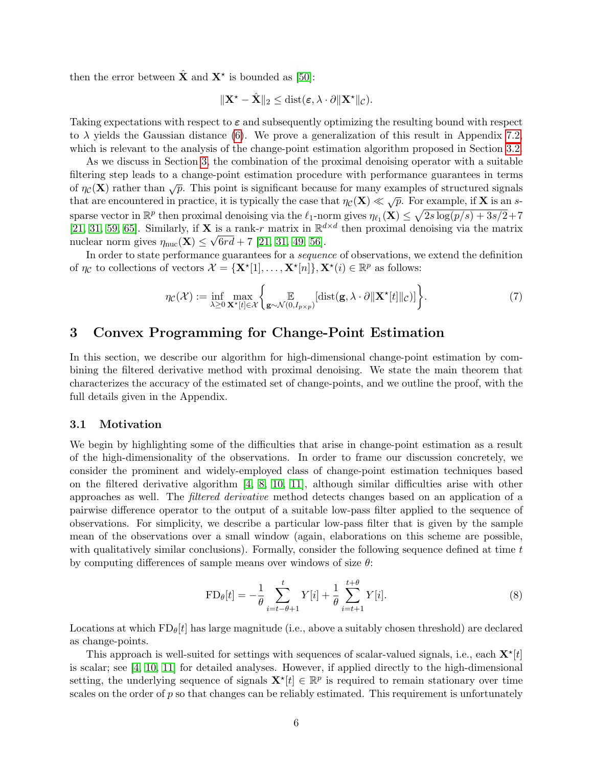then the error between  $\hat{\mathbf{X}}$  and  $\mathbf{X}^*$  is bounded as [\[50\]](#page-18-2):

$$
\|\mathbf{X}^{\star}-\hat{\mathbf{X}}\|_2 \leq \mathrm{dist}(\boldsymbol{\varepsilon}, \lambda \cdot \partial \|\mathbf{X}^{\star}\|_{\mathcal{C}}).
$$

Taking expectations with respect to  $\varepsilon$  and subsequently optimizing the resulting bound with respect to  $\lambda$  yields the Gaussian distance [\(6\)](#page-4-2). We prove a generalization of this result in Appendix [7.2,](#page-22-0) which is relevant to the analysis of the change-point estimation algorithm proposed in Section [3.2.](#page-6-0)

As we discuss in Section [3,](#page-5-0) the combination of the proximal denoising operator with a suitable filtering step leads to a change-point estimation procedure with performance guarantees in terms of  $\eta_c(\mathbf{X})$  rather than  $\sqrt{p}$ . This point is significant because for many examples of structured signals that are encountered in practice, it is typically the case that  $\eta_c(\mathbf{X}) \ll \sqrt{p}$ . For example, if **X** is an ssparse vector in  $\mathbb{R}^p$  then proximal denoising via the  $\ell_1$ -norm gives  $\eta_{\ell_1}(\mathbf{X}) \leq \sqrt{2s \log(p/s) + 3s/2} + 7$ [\[21,](#page-17-4) [31,](#page-17-6) [59,](#page-19-8) [65\]](#page-19-9). Similarly, if **X** is a rank-r matrix in  $\mathbb{R}^{d \times d}$  then proximal denoising via the matrix nuclear norm gives  $\eta_{\text{nuc}}(\mathbf{X}) \leq \sqrt{6rd} + 7$  [\[21,](#page-17-4) [31,](#page-17-6) [49,](#page-18-7) [56\]](#page-19-10).

In order to state performance guarantees for a sequence of observations, we extend the definition of  $\eta_{\mathcal{C}}$  to collections of vectors  $\mathcal{X} = {\mathbf{X}^{\star}[1], \ldots, \mathbf{X}^{\star}[n]}, \mathbf{X}^{\star}(i) \in \mathbb{R}^{p}$  as follows:

<span id="page-5-1"></span>
$$
\eta_{\mathcal{C}}(\mathcal{X}) := \inf_{\lambda \ge 0} \max_{\mathbf{X}^{\star}[t] \in \mathcal{X}} \bigg\{ \mathop{\mathbb{E}}_{\mathbf{g} \sim \mathcal{N}(0, I_{p \times p})} [\text{dist}(\mathbf{g}, \lambda \cdot \partial || \mathbf{X}^{\star}[t] ||_{\mathcal{C}})] \bigg\}.
$$
 (7)

# <span id="page-5-0"></span>3 Convex Programming for Change-Point Estimation

In this section, we describe our algorithm for high-dimensional change-point estimation by combining the filtered derivative method with proximal denoising. We state the main theorem that characterizes the accuracy of the estimated set of change-points, and we outline the proof, with the full details given in the Appendix.

#### 3.1 Motivation

We begin by highlighting some of the difficulties that arise in change-point estimation as a result of the high-dimensionality of the observations. In order to frame our discussion concretely, we consider the prominent and widely-employed class of change-point estimation techniques based on the filtered derivative algorithm [\[4,](#page-16-1) [8,](#page-16-2) [10,](#page-16-3) [11\]](#page-16-4), although similar difficulties arise with other approaches as well. The filtered derivative method detects changes based on an application of a pairwise difference operator to the output of a suitable low-pass filter applied to the sequence of observations. For simplicity, we describe a particular low-pass filter that is given by the sample mean of the observations over a small window (again, elaborations on this scheme are possible, with qualitatively similar conclusions). Formally, consider the following sequence defined at time  $t$ by computing differences of sample means over windows of size  $\theta$ :

$$
FD_{\theta}[t] = -\frac{1}{\theta} \sum_{i=t-\theta+1}^{t} Y[i] + \frac{1}{\theta} \sum_{i=t+1}^{t+\theta} Y[i].
$$
\n(8)

Locations at which  $FD_{\theta}[t]$  has large magnitude (i.e., above a suitably chosen threshold) are declared as change-points.

This approach is well-suited for settings with sequences of scalar-valued signals, i.e., each  $\mathbf{X}^{\star}[t]$ is scalar; see [\[4,](#page-16-1) [10,](#page-16-3) [11\]](#page-16-4) for detailed analyses. However, if applied directly to the high-dimensional setting, the underlying sequence of signals  $\mathbf{X}^{\star}[t] \in \mathbb{R}^{p}$  is required to remain stationary over time scales on the order of  $p$  so that changes can be reliably estimated. This requirement is unfortunately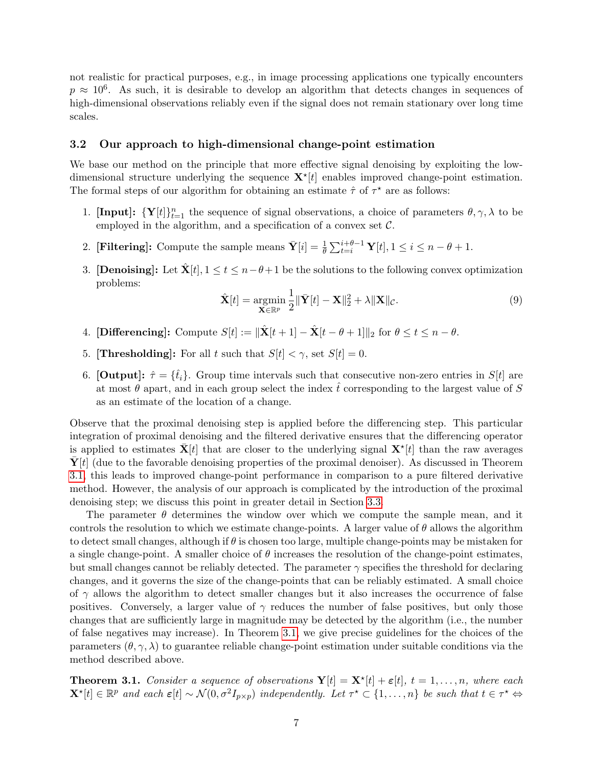not realistic for practical purposes, e.g., in image processing applications one typically encounters  $p \approx 10^6$ . As such, it is desirable to develop an algorithm that detects changes in sequences of high-dimensional observations reliably even if the signal does not remain stationary over long time scales.

#### <span id="page-6-0"></span>3.2 Our approach to high-dimensional change-point estimation

We base our method on the principle that more effective signal denoising by exploiting the lowdimensional structure underlying the sequence  $\mathbf{X}^{\star}[t]$  enables improved change-point estimation. The formal steps of our algorithm for obtaining an estimate  $\hat{\tau}$  of  $\tau^*$  are as follows:

- 1. [Input]:  $\{Y[t]\}_{t=1}^n$  the sequence of signal observations, a choice of parameters  $\theta, \gamma, \lambda$  to be employed in the algorithm, and a specification of a convex set  $C$ .
- 2. [Filtering]: Compute the sample means  $\bar{\mathbf{Y}}[i] = \frac{1}{\theta} \sum_{t=i}^{i+\theta-1} \mathbf{Y}[t], 1 \le i \le n-\theta+1.$
- 3. [Denoising]: Let  $\hat{\mathbf{X}}[t], 1 \le t \le n-\theta+1$  be the solutions to the following convex optimization problems:

$$
\hat{\mathbf{X}}[t] = \underset{\mathbf{X} \in \mathbb{R}^p}{\operatorname{argmin}} \frac{1}{2} \|\bar{\mathbf{Y}}[t] - \mathbf{X}\|_2^2 + \lambda \|\mathbf{X}\|_{\mathcal{C}}.\tag{9}
$$

- 4. [Differencing]: Compute  $S[t] := \|\hat{\mathbf{X}}[t+1] \hat{\mathbf{X}}[t-\theta+1]\|_2$  for  $\theta \le t \le n \theta$ .
- 5. [Thresholding]: For all t such that  $S[t] < \gamma$ , set  $S[t] = 0$ .
- 6. [Output]:  $\hat{\tau} = {\hat{t}_i}$ . Group time intervals such that consecutive non-zero entries in  $S[t]$  are at most  $\theta$  apart, and in each group select the index that corresponding to the largest value of S as an estimate of the location of a change.

Observe that the proximal denoising step is applied before the differencing step. This particular integration of proximal denoising and the filtered derivative ensures that the differencing operator is applied to estimates  $\bar{\mathbf{X}}[t]$  that are closer to the underlying signal  $\mathbf{X}^{\star}[t]$  than the raw averages  $\mathbf{Y}[t]$  (due to the favorable denoising properties of the proximal denoiser). As discussed in Theorem [3.1,](#page-6-1) this leads to improved change-point performance in comparison to a pure filtered derivative method. However, the analysis of our approach is complicated by the introduction of the proximal denoising step; we discuss this point in greater detail in Section [3.3.](#page-7-0)

The parameter  $\theta$  determines the window over which we compute the sample mean, and it controls the resolution to which we estimate change-points. A larger value of  $\theta$  allows the algorithm to detect small changes, although if  $\theta$  is chosen too large, multiple change-points may be mistaken for a single change-point. A smaller choice of  $\theta$  increases the resolution of the change-point estimates, but small changes cannot be reliably detected. The parameter  $\gamma$  specifies the threshold for declaring changes, and it governs the size of the change-points that can be reliably estimated. A small choice of  $\gamma$  allows the algorithm to detect smaller changes but it also increases the occurrence of false positives. Conversely, a larger value of  $\gamma$  reduces the number of false positives, but only those changes that are sufficiently large in magnitude may be detected by the algorithm (i.e., the number of false negatives may increase). In Theorem [3.1,](#page-6-1) we give precise guidelines for the choices of the parameters  $(\theta, \gamma, \lambda)$  to guarantee reliable change-point estimation under suitable conditions via the method described above.

<span id="page-6-1"></span>**Theorem 3.1.** Consider a sequence of observations  $\mathbf{Y}[t] = \mathbf{X}^{\star}[t] + \varepsilon[t], t = 1, \ldots, n$ , where each  $\mathbf{X}^{\star}[t] \in \mathbb{R}^{p}$  and each  $\varepsilon[t] \sim \mathcal{N}(0, \sigma^{2}I_{p\times p})$  independently. Let  $\tau^{\star} \subset \{1, \ldots, n\}$  be such that  $t \in \tau^{\star} \Leftrightarrow$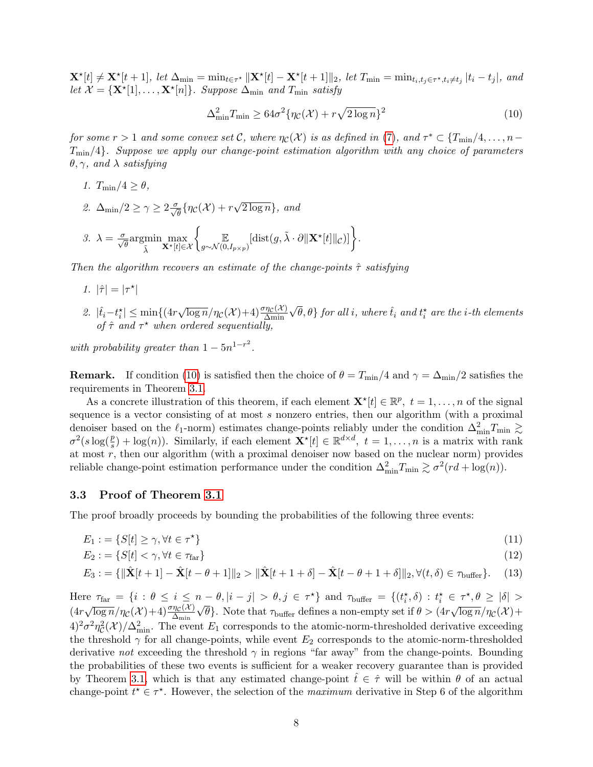$\mathbf{X}^{\star}[t] \neq \mathbf{X}^{\star}[t+1], \text{ let } \Delta_{\min} = \min_{t \in \tau^{\star}} \|\mathbf{X}^{\star}[t] - \mathbf{X}^{\star}[t+1]\|_2, \text{ let } T_{\min} = \min_{t_i, t_j \in \tau^{\star}, t_i \neq t_j} |t_i - t_j|, \text{ and }$ let  $\mathcal{X} = {\mathbf{X}^{\star}[1], \ldots, \mathbf{X}^{\star}[n]}$ . Suppose  $\Delta_{\min}$  and  $T_{\min}$  satisfy

<span id="page-7-1"></span>
$$
\Delta_{\min}^2 T_{\min} \ge 64\sigma^2 \{ \eta_{\mathcal{C}}(\mathcal{X}) + r\sqrt{2\log n} \}^2 \tag{10}
$$

for some  $r > 1$  and some convex set C, where  $\eta_c(\mathcal{X})$  is as defined in [\(7\)](#page-5-1), and  $\tau^* \subset \{T_{\min}/4, \ldots, n-1\}$  $T_{\text{min}}/4$ . Suppose we apply our change-point estimation algorithm with any choice of parameters  $\theta, \gamma$ , and  $\lambda$  satisfying

- 1.  $T_{\text{min}}/4 \geq \theta$ ,
- 2.  $\Delta_{\min}/2 \geq \gamma \geq 2 \frac{\sigma}{\sqrt{\theta}} \{ \eta_{\mathcal{C}}(\mathcal{X}) + r \}$ √  $\overline{2 \log n}$ , and

$$
\mathcal{J}.\ \lambda = \frac{\sigma}{\sqrt{\theta}} \mathrm{argmin}_{\tilde{\lambda}} \max_{\mathbf{X}^{\star}[t] \in \mathcal{X}} \left\{ \underset{g \sim \mathcal{N}(0, I_{p \times p})}{\mathbb{E}} [\mathrm{dist}(g, \tilde{\lambda} \cdot \partial \|\mathbf{X}^{\star}[t]\|_{\mathcal{C}})] \right\}.
$$

Then the algorithm recovers an estimate of the change-points  $\hat{\tau}$  satisfying

- 1.  $|\hat{\tau}| = |\tau^{\star}|$
- 2.  $|\hat{t}_i t_i^*| \le \min\{(4r)$  $\sqrt{\log n}/\eta_{\mathcal{C}}(\mathcal{X})+4) \frac{\sigma \eta_{\mathcal{C}}(\mathcal{X})}{\Delta \min}$  $\{\sqrttheta}, \theta\}$  for all i, where  $\hat{t}_i$  and  $t_i^\star$  are the i-th elements of  $\hat{\tau}$  and  $\tau^*$  when ordered sequentially,

with probability greater than  $1 - 5n^{1-r^2}$ .

**Remark.** If condition [\(10\)](#page-7-1) is satisfied then the choice of  $\theta = T_{\text{min}}/4$  and  $\gamma = \Delta_{\text{min}}/2$  satisfies the requirements in Theorem [3.1.](#page-6-1)

As a concrete illustration of this theorem, if each element  $\mathbf{X}^{\star}[t] \in \mathbb{R}^{p}, t = 1, \ldots, n$  of the signal sequence is a vector consisting of at most s nonzero entries, then our algorithm (with a proximal denoiser based on the  $\ell_1$ -norm) estimates change-points reliably under the condition  $\Delta_{\min}^2 T_{\min} \gtrsim$  $\sigma^2(s\log(\frac{p}{s}) + \log(n))$ . Similarly, if each element  $\mathbf{X}^{\star}[t] \in \mathbb{R}^{d \times d}$ ,  $t = 1, \ldots, n$  is a matrix with rank at most  $r$ , then our algorithm (with a proximal denoiser now based on the nuclear norm) provides reliable change-point estimation performance under the condition  $\Delta_{\min}^2 T_{\min} \gtrsim \sigma^2 (r d + \log(n))$ .

#### <span id="page-7-0"></span>3.3 Proof of Theorem [3.1](#page-6-1)

The proof broadly proceeds by bounding the probabilities of the following three events:

$$
E_1 := \{ S[t] \ge \gamma, \forall t \in \tau^* \} \tag{11}
$$

<span id="page-7-4"></span><span id="page-7-3"></span><span id="page-7-2"></span>
$$
E_2 := \{ S[t] < \gamma, \forall t \in \tau_{\text{far}} \} \tag{12}
$$

$$
E_3 := \{ ||\hat{\mathbf{X}}[t+1] - \hat{\mathbf{X}}[t-\theta+1]||_2 > ||\hat{\mathbf{X}}[t+1+\delta] - \hat{\mathbf{X}}[t-\theta+1+\delta]||_2, \forall (t,\delta) \in \tau_{\text{buffer}} \}.
$$
 (13)

Here  $\tau_{\text{far}} = \{i : \theta \le i \le n - \theta, |i - j| > \theta, j \in \tau^{\star}\}\$  and  $\tau_{\text{buffer}} = \{(t_i^{\star}, \delta) : t_i^{\star} \in \tau^{\star}, \theta \ge |\delta| > \tau^{\star}\}$  $(4r)$  $\sqrt{\log n}/\eta_{\mathcal{C}}(\mathcal{X})+4) \frac{\sigma \eta_{\mathcal{C}}(\mathcal{X})}{\Delta_{\min}}$  $^{\prime}$ ′ θ}. Note that  $τ_{\text{buffer}}$  defines a non-empty set if  $θ > (4r)$ √  $\overline{\log n}/\eta_{\mathcal{C}}(\mathcal{X}) +$  $4)^2\sigma^2\eta_c^2(\mathcal{X})/\Delta_{\text{min}}^2$ . The event  $E_1$  corresponds to the atomic-norm-thresholded derivative exceeding the threshold  $\gamma$  for all change-points, while event  $E_2$  corresponds to the atomic-norm-thresholded derivative not exceeding the threshold  $\gamma$  in regions "far away" from the change-points. Bounding the probabilities of these two events is sufficient for a weaker recovery guarantee than is provided by Theorem [3.1,](#page-6-1) which is that any estimated change-point  $t \in \hat{\tau}$  will be within  $\theta$  of an actual change-point  $t^* \in \tau^*$ . However, the selection of the *maximum* derivative in Step 6 of the algorithm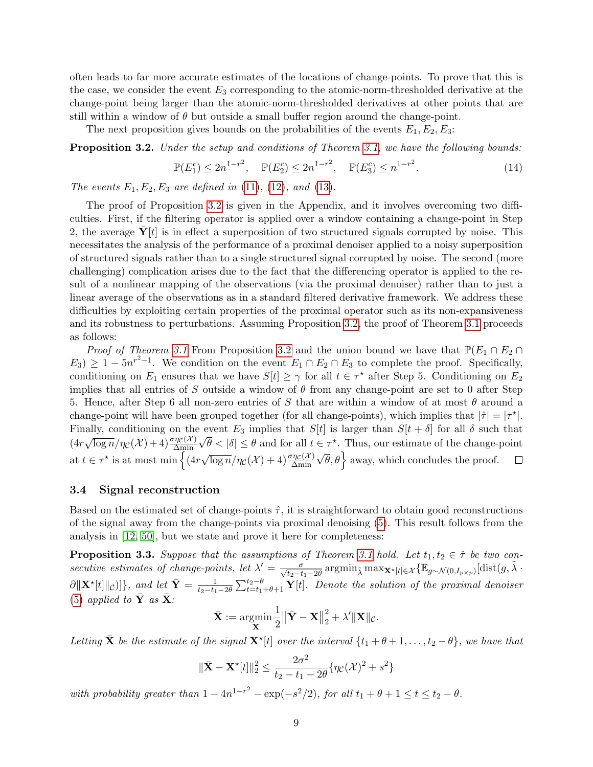often leads to far more accurate estimates of the locations of change-points. To prove that this is the case, we consider the event  $E_3$  corresponding to the atomic-norm-thresholded derivative at the change-point being larger than the atomic-norm-thresholded derivatives at other points that are still within a window of  $\theta$  but outside a small buffer region around the change-point.

The next proposition gives bounds on the probabilities of the events  $E_1, E_2, E_3$ :

<span id="page-8-0"></span>**Proposition 3.2.** Under the setup and conditions of Theorem [3.1,](#page-6-1) we have the following bounds:

$$
\mathbb{P}(E_1^c) \le 2n^{1-r^2}, \quad \mathbb{P}(E_2^c) \le 2n^{1-r^2}, \quad \mathbb{P}(E_3^c) \le n^{1-r^2}.
$$
 (14)

The events  $E_1, E_2, E_3$  are defined in [\(11\)](#page-7-2), [\(12\)](#page-7-3), and [\(13\)](#page-7-4).

The proof of Proposition [3.2](#page-8-0) is given in the Appendix, and it involves overcoming two difficulties. First, if the filtering operator is applied over a window containing a change-point in Step 2, the average  $Y[t]$  is in effect a superposition of two structured signals corrupted by noise. This necessitates the analysis of the performance of a proximal denoiser applied to a noisy superposition of structured signals rather than to a single structured signal corrupted by noise. The second (more challenging) complication arises due to the fact that the differencing operator is applied to the result of a nonlinear mapping of the observations (via the proximal denoiser) rather than to just a linear average of the observations as in a standard filtered derivative framework. We address these difficulties by exploiting certain properties of the proximal operator such as its non-expansiveness and its robustness to perturbations. Assuming Proposition [3.2,](#page-8-0) the proof of Theorem [3.1](#page-6-1) proceeds as follows:

*Proof of Theorem [3.1](#page-6-1)* From Proposition [3.2](#page-8-0) and the union bound we have that  $\mathbb{P}(E_1 \cap E_2 \cap E_3)$  $E_3$ )  $\geq 1 - 5n^{r^2-1}$ . We condition on the event  $E_1 \cap E_2 \cap E_3$  to complete the proof. Specifically, conditioning on  $E_1$  ensures that we have  $S[t] \geq \gamma$  for all  $t \in \tau^*$  after Step 5. Conditioning on  $E_2$ implies that all entries of S outside a window of  $\theta$  from any change-point are set to 0 after Step 5. Hence, after Step 6 all non-zero entries of S that are within a window of at most  $\theta$  around a change-point will have been grouped together (for all change-points), which implies that  $|\hat{\tau}| = |\tau^*|$ . Finally, conditioning on the event  $E_3$  implies that  $S[t]$  is larger than  $S[t + \delta]$  for all  $\delta$  such that (4r  $\sqrt{\log n}/\eta_{\mathcal{C}}(\mathcal{X})+4) \frac{\sigma \eta_{\mathcal{C}}(\mathcal{X})}{\Delta \min}$ √  $\theta < |\delta| \leq \theta$  and for all  $t \in \tau^*$ . Thus, our estimate of the change-point at  $t \in \tau^*$  is at most min  $\Big\{ (4r)$  $\sqrt{\log n}/\eta_{\mathcal{C}}(\mathcal{X})+4) \frac{\sigma \eta_{\mathcal{C}}(\mathcal{X})}{\Delta \min}$  $(\sqrt{\theta}, \theta)$  away, which concludes the proof.

#### 3.4 Signal reconstruction

Based on the estimated set of change-points  $\hat{\tau}$ , it is straightforward to obtain good reconstructions of the signal away from the change-points via proximal denoising [\(5\)](#page-4-1). This result follows from the analysis in [\[12,](#page-16-5) [50\]](#page-18-2), but we state and prove it here for completeness:

<span id="page-8-1"></span>**Proposition 3.3.** Suppose that the assumptions of Theorem [3.1](#page-6-1) hold. Let  $t_1, t_2 \in \hat{\tau}$  be two consecutive estimates of change-points, let  $\lambda' = \frac{\sigma}{\sqrt{t_2-t_1-2\theta}} \operatorname{argmin}_{\tilde{\lambda}} \max_{\mathbf{X}^{\star}[t] \in \mathcal{X}} \{ \mathbb{E}_{g \sim \mathcal{N}(0,I_{p \times p})}[\operatorname{dist}(g, \tilde{\lambda} \cdot \mathbb{E}_{g \times \mathcal{N}(0, I_{p \times p}))}](g, \tilde{\lambda} \cdot \mathbb{E}_{g \sim \mathcal{N}(0, I_{p \times p})}$  $\partial \|\mathbf{X}^{\star}[t]\|_{\mathcal{C}})$ }, and let  $\bar{\mathbf{Y}} = \frac{1}{t_2-t_1-2\theta} \sum_{t=t_1+\theta+1}^{t_2-\theta} \mathbf{Y}[t]$ . Denote the solution of the proximal denoiser [\(5\)](#page-4-1) applied to  $\bar{\mathbf{Y}}$  as  $\bar{\mathbf{X}}$ :

$$
\bar{\mathbf{X}} := \operatorname*{argmin}_{\mathbf{X}} \frac{1}{2} \left\| \bar{\mathbf{Y}} - \mathbf{X} \right\|_2^2 + \lambda' \|\mathbf{X}\|_{\mathcal{C}}.
$$

Letting  $\bar{\mathbf{X}}$  be the estimate of the signal  $\mathbf{X}^{\star}[t]$  over the interval  $\{t_1 + \theta + 1, \ldots, t_2 - \theta\}$ , we have that

$$
\|\bar{\mathbf{X}} - \mathbf{X}^{\star}[t]\|_{2}^{2} \le \frac{2\sigma^{2}}{t_{2} - t_{1} - 2\theta} \{\eta_{\mathcal{C}}(\mathcal{X})^{2} + s^{2}\}
$$

with probability greater than  $1 - 4n^{1-r^2} - \exp(-s^2/2)$ , for all  $t_1 + \theta + 1 \le t \le t_2 - \theta$ .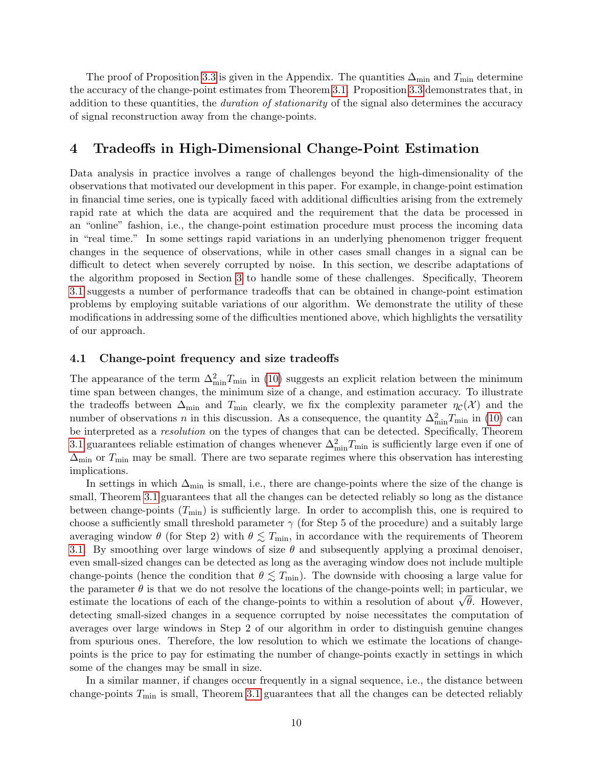The proof of Proposition [3.3](#page-8-1) is given in the Appendix. The quantities  $\Delta_{\text{min}}$  and  $T_{\text{min}}$  determine the accuracy of the change-point estimates from Theorem [3.1.](#page-6-1) Proposition [3.3](#page-8-1) demonstrates that, in addition to these quantities, the *duration of stationarity* of the signal also determines the accuracy of signal reconstruction away from the change-points.

# <span id="page-9-0"></span>4 Tradeoffs in High-Dimensional Change-Point Estimation

Data analysis in practice involves a range of challenges beyond the high-dimensionality of the observations that motivated our development in this paper. For example, in change-point estimation in financial time series, one is typically faced with additional difficulties arising from the extremely rapid rate at which the data are acquired and the requirement that the data be processed in an "online" fashion, i.e., the change-point estimation procedure must process the incoming data in "real time." In some settings rapid variations in an underlying phenomenon trigger frequent changes in the sequence of observations, while in other cases small changes in a signal can be difficult to detect when severely corrupted by noise. In this section, we describe adaptations of the algorithm proposed in Section [3](#page-5-0) to handle some of these challenges. Specifically, Theorem [3.1](#page-6-1) suggests a number of performance tradeoffs that can be obtained in change-point estimation problems by employing suitable variations of our algorithm. We demonstrate the utility of these modifications in addressing some of the difficulties mentioned above, which highlights the versatility of our approach.

### 4.1 Change-point frequency and size tradeoffs

The appearance of the term  $\Delta_{\min}^2 T_{\min}$  in [\(10\)](#page-7-1) suggests an explicit relation between the minimum time span between changes, the minimum size of a change, and estimation accuracy. To illustrate the tradeoffs between  $\Delta_{\min}$  and  $T_{\min}$  clearly, we fix the complexity parameter  $\eta_c(\mathcal{X})$  and the number of observations n in this discussion. As a consequence, the quantity  $\Delta_{\min}^2 T_{\min}$  in [\(10\)](#page-7-1) can be interpreted as a resolution on the types of changes that can be detected. Specifically, Theorem [3.1](#page-6-1) guarantees reliable estimation of changes whenever  $\Delta_{\min}^2 T_{\min}$  is sufficiently large even if one of  $\Delta_{\text{min}}$  or  $T_{\text{min}}$  may be small. There are two separate regimes where this observation has interesting implications.

In settings in which  $\Delta_{\text{min}}$  is small, i.e., there are change-points where the size of the change is small, Theorem [3.1](#page-6-1) guarantees that all the changes can be detected reliably so long as the distance between change-points  $(T_{\min})$  is sufficiently large. In order to accomplish this, one is required to choose a sufficiently small threshold parameter  $\gamma$  (for Step 5 of the procedure) and a suitably large averaging window  $\theta$  (for Step 2) with  $\theta \lesssim T_{\text{min}}$ , in accordance with the requirements of Theorem [3.1.](#page-6-1) By smoothing over large windows of size  $\theta$  and subsequently applying a proximal denoiser, even small-sized changes can be detected as long as the averaging window does not include multiple change-points (hence the condition that  $\theta \lesssim T_{\min}$ ). The downside with choosing a large value for the parameter  $\theta$  is that we do not resolve the locations of the change-points well; in particular, we the parameter  $\theta$  is that we do not resolve the locations of the change-points well; in particular, we estimate the locations of each of the change-points to within a resolution of about  $\sqrt{\theta}$ . However, detecting small-sized changes in a sequence corrupted by noise necessitates the computation of averages over large windows in Step 2 of our algorithm in order to distinguish genuine changes from spurious ones. Therefore, the low resolution to which we estimate the locations of changepoints is the price to pay for estimating the number of change-points exactly in settings in which some of the changes may be small in size.

In a similar manner, if changes occur frequently in a signal sequence, i.e., the distance between change-points  $T_{\text{min}}$  is small, Theorem [3.1](#page-6-1) guarantees that all the changes can be detected reliably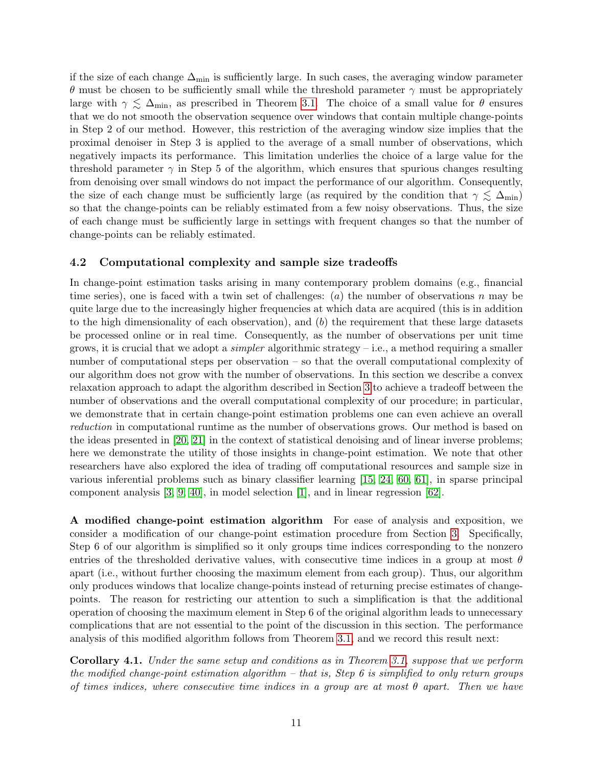if the size of each change  $\Delta_{\text{min}}$  is sufficiently large. In such cases, the averaging window parameter θ must be chosen to be sufficiently small while the threshold parameter  $γ$  must be appropriately large with  $\gamma \lesssim \Delta_{\text{min}}$ , as prescribed in Theorem [3.1.](#page-6-1) The choice of a small value for  $\theta$  ensures that we do not smooth the observation sequence over windows that contain multiple change-points in Step 2 of our method. However, this restriction of the averaging window size implies that the proximal denoiser in Step 3 is applied to the average of a small number of observations, which negatively impacts its performance. This limitation underlies the choice of a large value for the threshold parameter  $\gamma$  in Step 5 of the algorithm, which ensures that spurious changes resulting from denoising over small windows do not impact the performance of our algorithm. Consequently, the size of each change must be sufficiently large (as required by the condition that  $\gamma \lesssim \Delta_{\min}$ ) so that the change-points can be reliably estimated from a few noisy observations. Thus, the size of each change must be sufficiently large in settings with frequent changes so that the number of change-points can be reliably estimated.

### 4.2 Computational complexity and sample size tradeoffs

In change-point estimation tasks arising in many contemporary problem domains (e.g., financial time series), one is faced with a twin set of challenges:  $(a)$  the number of observations n may be quite large due to the increasingly higher frequencies at which data are acquired (this is in addition to the high dimensionality of each observation), and  $(b)$  the requirement that these large datasets be processed online or in real time. Consequently, as the number of observations per unit time grows, it is crucial that we adopt a *simpler* algorithmic strategy – i.e., a method requiring a smaller number of computational steps per observation – so that the overall computational complexity of our algorithm does not grow with the number of observations. In this section we describe a convex relaxation approach to adapt the algorithm described in Section [3](#page-5-0) to achieve a tradeoff between the number of observations and the overall computational complexity of our procedure; in particular, we demonstrate that in certain change-point estimation problems one can even achieve an overall reduction in computational runtime as the number of observations grows. Our method is based on the ideas presented in [\[20,](#page-17-7) [21\]](#page-17-4) in the context of statistical denoising and of linear inverse problems; here we demonstrate the utility of those insights in change-point estimation. We note that other researchers have also explored the idea of trading off computational resources and sample size in various inferential problems such as binary classifier learning [\[15,](#page-16-13) [24,](#page-17-14) [60,](#page-19-11) [61\]](#page-19-12), in sparse principal component analysis [\[3,](#page-16-14) [9,](#page-16-15) [40\]](#page-18-8), in model selection [\[1\]](#page-15-1), and in linear regression [\[62\]](#page-19-13).

A modified change-point estimation algorithm For ease of analysis and exposition, we consider a modification of our change-point estimation procedure from Section [3.](#page-5-0) Specifically, Step 6 of our algorithm is simplified so it only groups time indices corresponding to the nonzero entries of the thresholded derivative values, with consecutive time indices in a group at most  $\theta$ apart (i.e., without further choosing the maximum element from each group). Thus, our algorithm only produces windows that localize change-points instead of returning precise estimates of changepoints. The reason for restricting our attention to such a simplification is that the additional operation of choosing the maximum element in Step 6 of the original algorithm leads to unnecessary complications that are not essential to the point of the discussion in this section. The performance analysis of this modified algorithm follows from Theorem [3.1,](#page-6-1) and we record this result next:

<span id="page-10-0"></span>Corollary 4.1. Under the same setup and conditions as in Theorem [3.1,](#page-6-1) suppose that we perform the modified change-point estimation algorithm – that is, Step 6 is simplified to only return groups of times indices, where consecutive time indices in a group are at most  $\theta$  apart. Then we have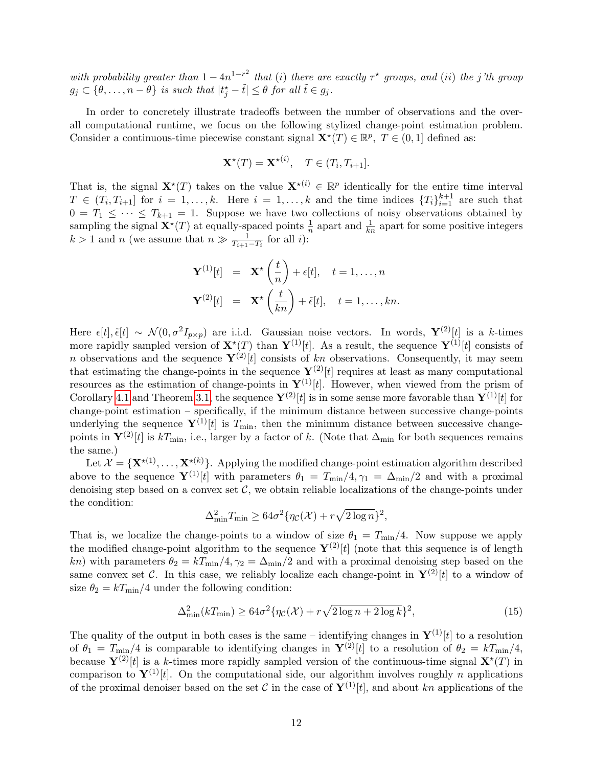with probability greater than  $1-4n^{1-r^2}$  that (i) there are exactly  $\tau^{\star}$  groups, and (ii) the j'th group  $g_j \subset \{\theta, \ldots, n-\theta\}$  is such that  $|t_j^* - \tilde{t}| \leq \theta$  for all  $\tilde{t} \in g_j$ .

In order to concretely illustrate tradeoffs between the number of observations and the overall computational runtime, we focus on the following stylized change-point estimation problem. Consider a continuous-time piecewise constant signal  $\mathbf{X}^*(T) \in \mathbb{R}^p$ ,  $T \in (0, 1]$  defined as:

$$
\mathbf{X}^{\star}(T) = \mathbf{X}^{\star(i)}, \quad T \in (T_i, T_{i+1}].
$$

That is, the signal  $\mathbf{X}^{\star}(T)$  takes on the value  $\mathbf{X}^{\star(i)} \in \mathbb{R}^{p}$  identically for the entire time interval  $T \in (T_i, T_{i+1}]$  for  $i = 1, \ldots, k$ . Here  $i = 1, \ldots, k$  and the time indices  $\{T_i\}_{i=1}^{k+1}$  are such that  $0 = T_1 \leq \cdots \leq T_{k+1} = 1$ . Suppose we have two collections of noisy observations obtained by sampling the signal  $\mathbf{X}^{\star}(T)$  at equally-spaced points  $\frac{1}{n}$  apart and  $\frac{1}{kn}$  apart for some positive integers  $k > 1$  and n (we assume that  $n \gg \frac{1}{T_{i+1}-T_i}$  for all *i*):

$$
\mathbf{Y}^{(1)}[t] = \mathbf{X}^{\star}\left(\frac{t}{n}\right) + \epsilon[t], \quad t = 1, \dots, n
$$

$$
\mathbf{Y}^{(2)}[t] = \mathbf{X}^{\star}\left(\frac{t}{kn}\right) + \tilde{\epsilon}[t], \quad t = 1, \dots, kn.
$$

Here  $\epsilon[t], \tilde{\epsilon}[t] \sim \mathcal{N}(0, \sigma^2 I_{p \times p})$  are i.i.d. Gaussian noise vectors. In words,  $\mathbf{Y}^{(2)}[t]$  is a k-times more rapidly sampled version of  $\mathbf{X}^*(T)$  than  $\mathbf{Y}^{(1)}[t]$ . As a result, the sequence  $\mathbf{Y}^{(1)}[t]$  consists of n observations and the sequence  $\mathbf{Y}^{(2)}[t]$  consists of kn observations. Consequently, it may seem that estimating the change-points in the sequence  $\mathbf{Y}^{(2)}[t]$  requires at least as many computational resources as the estimation of change-points in  $Y^{(1)}[t]$ . However, when viewed from the prism of Corollary [4.1](#page-10-0) and Theorem [3.1,](#page-6-1) the sequence  ${\bf Y}^{(2)}[t]$  is in some sense more favorable than  ${\bf Y}^{(1)}[t]$  for change-point estimation – specifically, if the minimum distance between successive change-points underlying the sequence  $\mathbf{Y}^{(1)}[t]$  is  $T_{\min}$ , then the minimum distance between successive changepoints in  $\mathbf{Y}^{(2)}[t]$  is  $kT_{\min}$ , i.e., larger by a factor of k. (Note that  $\Delta_{\min}$  for both sequences remains the same.)

Let  $\mathcal{X} = {\mathbf{X}^{\star(1)}, \ldots, \mathbf{X}^{\star(k)}}$ . Applying the modified change-point estimation algorithm described above to the sequence  $\mathbf{Y}^{(1)}[t]$  with parameters  $\theta_1 = T_{\min}/4, \gamma_1 = \Delta_{\min}/2$  and with a proximal denoising step based on a convex set  $\mathcal{C}$ , we obtain reliable localizations of the change-points under the condition:

$$
\Delta_{\min}^2 T_{\min} \ge 64\sigma^2 \{ \eta_{\mathcal{C}}(\mathcal{X}) + r \sqrt{2 \log n} \}^2,
$$

That is, we localize the change-points to a window of size  $\theta_1 = T_{\text{min}}/4$ . Now suppose we apply the modified change-point algorithm to the sequence  $\mathbf{Y}^{(2)}[t]$  (note that this sequence is of length kn) with parameters  $\theta_2 = kT_{\text{min}}/4$ ,  $\gamma_2 = \Delta_{\text{min}}/2$  and with a proximal denoising step based on the same convex set C. In this case, we reliably localize each change-point in  $Y^{(2)}[t]$  to a window of size  $\theta_2 = kT_{\text{min}}/4$  under the following condition:

<span id="page-11-0"></span>
$$
\Delta_{\min}^2(kT_{\min}) \ge 64\sigma^2 \{\eta_{\mathcal{C}}(\mathcal{X}) + r\sqrt{2\log n + 2\log k}\}^2,\tag{15}
$$

The quality of the output in both cases is the same – identifying changes in  $\mathbf{Y}^{(1)}[t]$  to a resolution of  $\theta_1 = T_{\text{min}}/4$  is comparable to identifying changes in  $\mathbf{Y}^{(2)}[t]$  to a resolution of  $\theta_2 = kT_{\text{min}}/4$ , because  $\mathbf{Y}^{(2)}[t]$  is a k-times more rapidly sampled version of the continuous-time signal  $\mathbf{X}^{\star}(T)$  in comparison to  $\mathbf{Y}^{(1)}[t]$ . On the computational side, our algorithm involves roughly n applications of the proximal denoiser based on the set C in the case of  $Y^{(1)}[t]$ , and about kn applications of the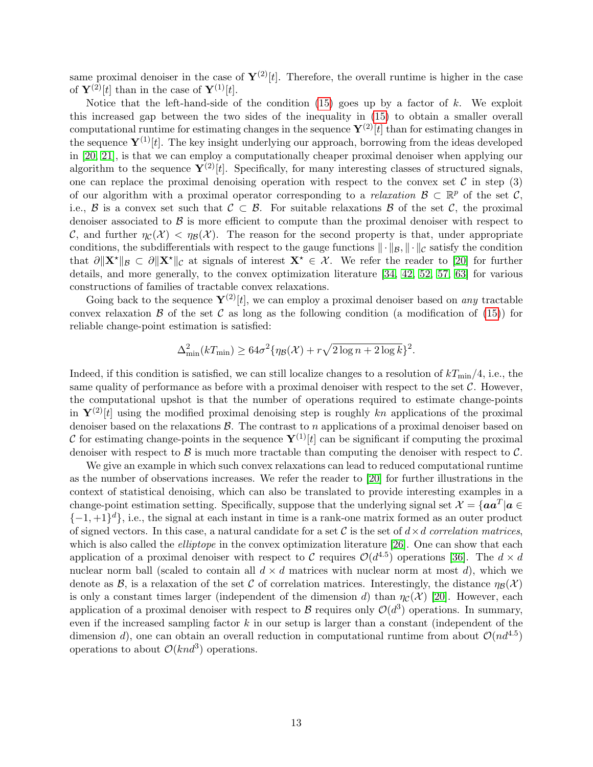same proximal denoiser in the case of  $\mathbf{Y}^{(2)}[t]$ . Therefore, the overall runtime is higher in the case of  $\mathbf{Y}^{(2)}[t]$  than in the case of  $\mathbf{Y}^{(1)}[t]$ .

Notice that the left-hand-side of the condition  $(15)$  goes up by a factor of k. We exploit this increased gap between the two sides of the inequality in [\(15\)](#page-11-0) to obtain a smaller overall computational runtime for estimating changes in the sequence  $\mathbf{Y}^{(2)}[t]$  than for estimating changes in the sequence  $\mathbf{Y}^{(1)}[t]$ . The key insight underlying our approach, borrowing from the ideas developed in [\[20,](#page-17-7) [21\]](#page-17-4), is that we can employ a computationally cheaper proximal denoiser when applying our algorithm to the sequence  $\mathbf{Y}^{(2)}[t]$ . Specifically, for many interesting classes of structured signals, one can replace the proximal denoising operation with respect to the convex set  $\mathcal C$  in step (3) of our algorithm with a proximal operator corresponding to a *relaxation*  $\mathcal{B} \subset \mathbb{R}^p$  of the set  $\mathcal{C}$ , i.e., B is a convex set such that  $C \subset B$ . For suitable relaxations B of the set C, the proximal denoiser associated to  $\beta$  is more efficient to compute than the proximal denoiser with respect to C, and further  $\eta_c(\mathcal{X}) < \eta_{\mathcal{B}}(\mathcal{X})$ . The reason for the second property is that, under appropriate conditions, the subdifferentials with respect to the gauge functions  $\|\cdot\|_{\mathcal{B}}, \|\cdot\|_{\mathcal{C}}$  satisfy the condition that  $\partial ||\mathbf{X}^{\star}||_{\mathcal{B}} \subset \partial ||\mathbf{X}^{\star}||_{\mathcal{C}}$  at signals of interest  $\mathbf{X}^{\star} \in \mathcal{X}$ . We refer the reader to [\[20\]](#page-17-7) for further details, and more generally, to the convex optimization literature [\[34,](#page-17-15) [42,](#page-18-9) [52,](#page-18-10) [57,](#page-19-14) [63\]](#page-19-15) for various constructions of families of tractable convex relaxations.

Going back to the sequence  $\mathbf{Y}^{(2)}[t]$ , we can employ a proximal denoiser based on any tractable convex relaxation  $\beta$  of the set C as long as the following condition (a modification of [\(15\)](#page-11-0)) for reliable change-point estimation is satisfied:

$$
\Delta_{\min}^2(kT_{\min}) \ge 64\sigma^2\{\eta_{\mathcal{B}}(\mathcal{X}) + r\sqrt{2\log n + 2\log k}\}^2.
$$

Indeed, if this condition is satisfied, we can still localize changes to a resolution of  $kT_{\text{min}}/4$ , i.e., the same quality of performance as before with a proximal denoiser with respect to the set  $\mathcal{C}$ . However, the computational upshot is that the number of operations required to estimate change-points in  $\mathbf{Y}^{(2)}[t]$  using the modified proximal denoising step is roughly kn applications of the proximal denoiser based on the relaxations  $\beta$ . The contrast to n applications of a proximal denoiser based on C for estimating change-points in the sequence  $\mathbf{Y}^{(1)}[t]$  can be significant if computing the proximal denoiser with respect to  $\beta$  is much more tractable than computing the denoiser with respect to  $\beta$ .

We give an example in which such convex relaxations can lead to reduced computational runtime as the number of observations increases. We refer the reader to [\[20\]](#page-17-7) for further illustrations in the context of statistical denoising, which can also be translated to provide interesting examples in a change-point estimation setting. Specifically, suppose that the underlying signal set  $\mathcal{X} = \{aa^T | a \in$  $\{-1,+1\}$ <sup>d</sup>, i.e., the signal at each instant in time is a rank-one matrix formed as an outer product of signed vectors. In this case, a natural candidate for a set C is the set of  $d \times d$  correlation matrices, which is also called the *elliptope* in the convex optimization literature [\[26\]](#page-17-16). One can show that each application of a proximal denoiser with respect to C requires  $\mathcal{O}(d^{4.5})$  operations [\[36\]](#page-18-11). The  $d \times d$ nuclear norm ball (scaled to contain all  $d \times d$  matrices with nuclear norm at most d), which we denote as  $\mathcal{B}$ , is a relaxation of the set C of correlation matrices. Interestingly, the distance  $\eta_{\mathcal{B}}(\mathcal{X})$ is only a constant times larger (independent of the dimension d) than  $\eta_c(\mathcal{X})$  [\[20\]](#page-17-7). However, each application of a proximal denoiser with respect to  $\mathcal B$  requires only  $\mathcal O(d^3)$  operations. In summary, even if the increased sampling factor  $k$  in our setup is larger than a constant (independent of the dimension d), one can obtain an overall reduction in computational runtime from about  $\mathcal{O}(nd^{4.5})$ operations to about  $\mathcal{O}(knd^3)$  operations.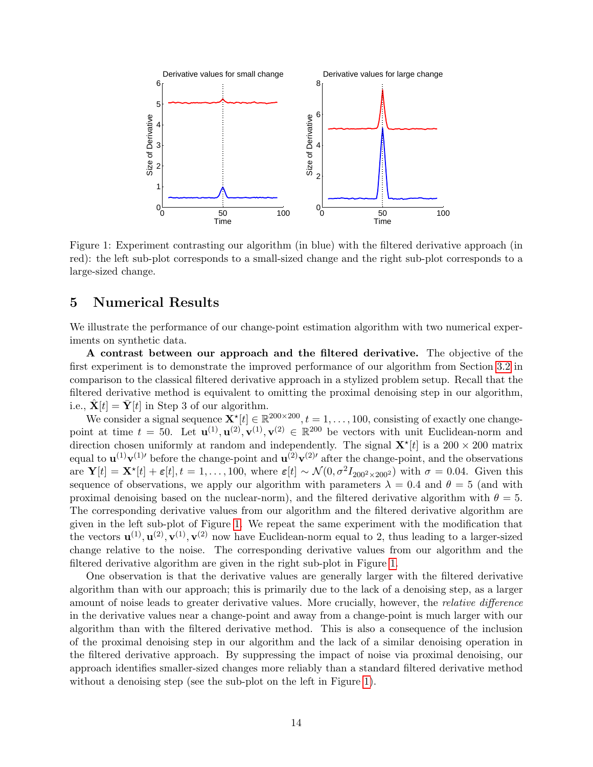

<span id="page-13-1"></span>Figure 1: Experiment contrasting our algorithm (in blue) with the filtered derivative approach (in red): the left sub-plot corresponds to a small-sized change and the right sub-plot corresponds to a large-sized change.

### <span id="page-13-0"></span>5 Numerical Results

We illustrate the performance of our change-point estimation algorithm with two numerical experiments on synthetic data.

A contrast between our approach and the filtered derivative. The objective of the first experiment is to demonstrate the improved performance of our algorithm from Section [3.2](#page-6-0) in comparison to the classical filtered derivative approach in a stylized problem setup. Recall that the filtered derivative method is equivalent to omitting the proximal denoising step in our algorithm, i.e.,  $\mathbf{\hat{X}}[t] = \mathbf{\bar{Y}}[t]$  in Step 3 of our algorithm.

We consider a signal sequence  $\mathbf{X}^{\star}[t] \in \mathbb{R}^{200 \times 200}$ ,  $t = 1, \ldots, 100$ , consisting of exactly one changepoint at time  $t = 50$ . Let  $\mathbf{u}^{(1)}, \mathbf{u}^{(2)}, \mathbf{v}^{(1)}, \mathbf{v}^{(2)} \in \mathbb{R}^{200}$  be vectors with unit Euclidean-norm and direction chosen uniformly at random and independently. The signal  $\mathbf{X}^{\star}[t]$  is a 200 × 200 matrix equal to  $\mathbf{u}^{(1)}\mathbf{v}^{(1)}$  before the change-point and  $\mathbf{u}^{(2)}\mathbf{v}^{(2)}$  after the change-point, and the observations are  $\mathbf{Y}[t] = \mathbf{X}^{\star}[t] + \varepsilon[t], t = 1, \ldots, 100$ , where  $\varepsilon[t] \sim \mathcal{N}(0, \sigma^2 I_{200^2 \times 200^2})$  with  $\sigma = 0.04$ . Given this sequence of observations, we apply our algorithm with parameters  $\lambda = 0.4$  and  $\theta = 5$  (and with proximal denoising based on the nuclear-norm), and the filtered derivative algorithm with  $\theta = 5$ . The corresponding derivative values from our algorithm and the filtered derivative algorithm are given in the left sub-plot of Figure [1.](#page-13-1) We repeat the same experiment with the modification that the vectors  $\mathbf{u}^{(1)}, \mathbf{u}^{(2)}, \mathbf{v}^{(1)}, \mathbf{v}^{(2)}$  now have Euclidean-norm equal to 2, thus leading to a larger-sized change relative to the noise. The corresponding derivative values from our algorithm and the filtered derivative algorithm are given in the right sub-plot in Figure [1.](#page-13-1)

One observation is that the derivative values are generally larger with the filtered derivative algorithm than with our approach; this is primarily due to the lack of a denoising step, as a larger amount of noise leads to greater derivative values. More crucially, however, the *relative difference* in the derivative values near a change-point and away from a change-point is much larger with our algorithm than with the filtered derivative method. This is also a consequence of the inclusion of the proximal denoising step in our algorithm and the lack of a similar denoising operation in the filtered derivative approach. By suppressing the impact of noise via proximal denoising, our approach identifies smaller-sized changes more reliably than a standard filtered derivative method without a denoising step (see the sub-plot on the left in Figure [1\)](#page-13-1).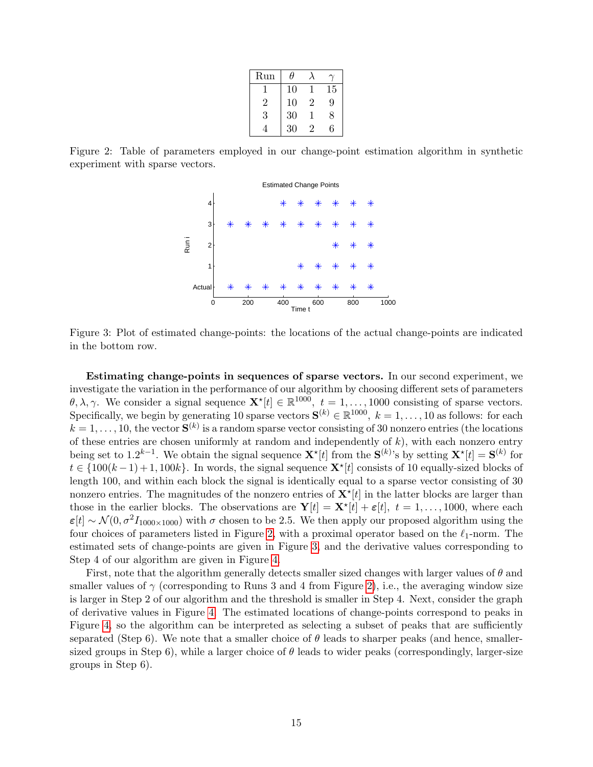| Run            | Ϥ  |                |    |
|----------------|----|----------------|----|
|                | 10 |                | 15 |
| $\overline{2}$ | 10 | $\overline{2}$ | 9  |
| 3              | 30 |                | 8  |
|                | 30 | $\overline{2}$ | հ  |

<span id="page-14-0"></span>Figure 2: Table of parameters employed in our change-point estimation algorithm in synthetic experiment with sparse vectors.



<span id="page-14-1"></span>Figure 3: Plot of estimated change-points: the locations of the actual change-points are indicated in the bottom row.

Estimating change-points in sequences of sparse vectors. In our second experiment, we investigate the variation in the performance of our algorithm by choosing different sets of parameters  $\theta, \lambda, \gamma$ . We consider a signal sequence  $\mathbf{X}^{\star}[t] \in \mathbb{R}^{1000}$ ,  $t = 1, \ldots, 1000$  consisting of sparse vectors. Specifically, we begin by generating 10 sparse vectors  $S^{(k)} \in \mathbb{R}^{1000}$ ,  $k = 1, \ldots, 10$  as follows: for each  $k = 1, \ldots, 10$ , the vector  $S^{(k)}$  is a random sparse vector consisting of 30 nonzero entries (the locations of these entries are chosen uniformly at random and independently of  $k$ ), with each nonzero entry being set to 1.2<sup>k-1</sup>. We obtain the signal sequence  $\mathbf{X}^{\star}[t]$  from the  $\mathbf{S}^{(k)}$ 's by setting  $\mathbf{X}^{\star}[t] = \mathbf{S}^{(k)}$  for  $t \in \{100(k-1)+1, 100k\}$ . In words, the signal sequence  $\mathbf{X}^{\star}[t]$  consists of 10 equally-sized blocks of length 100, and within each block the signal is identically equal to a sparse vector consisting of 30 nonzero entries. The magnitudes of the nonzero entries of  $\mathbf{X}^{\star}[t]$  in the latter blocks are larger than those in the earlier blocks. The observations are  $\mathbf{Y}[t] = \mathbf{X}^{\star}[t] + \varepsilon[t], t = 1, \ldots, 1000$ , where each  $\varepsilon[t] \sim \mathcal{N}(0, \sigma^2 I_{1000 \times 1000})$  with  $\sigma$  chosen to be 2.5. We then apply our proposed algorithm using the four choices of parameters listed in Figure [2,](#page-14-0) with a proximal operator based on the  $\ell_1$ -norm. The estimated sets of change-points are given in Figure [3,](#page-14-1) and the derivative values corresponding to Step 4 of our algorithm are given in Figure [4.](#page-15-2)

First, note that the algorithm generally detects smaller sized changes with larger values of  $\theta$  and smaller values of  $\gamma$  (corresponding to Runs 3 and 4 from Figure [2\)](#page-14-0), i.e., the averaging window size is larger in Step 2 of our algorithm and the threshold is smaller in Step 4. Next, consider the graph of derivative values in Figure [4.](#page-15-2) The estimated locations of change-points correspond to peaks in Figure [4,](#page-15-2) so the algorithm can be interpreted as selecting a subset of peaks that are sufficiently separated (Step 6). We note that a smaller choice of  $\theta$  leads to sharper peaks (and hence, smallersized groups in Step 6), while a larger choice of  $\theta$  leads to wider peaks (correspondingly, larger-size groups in Step 6).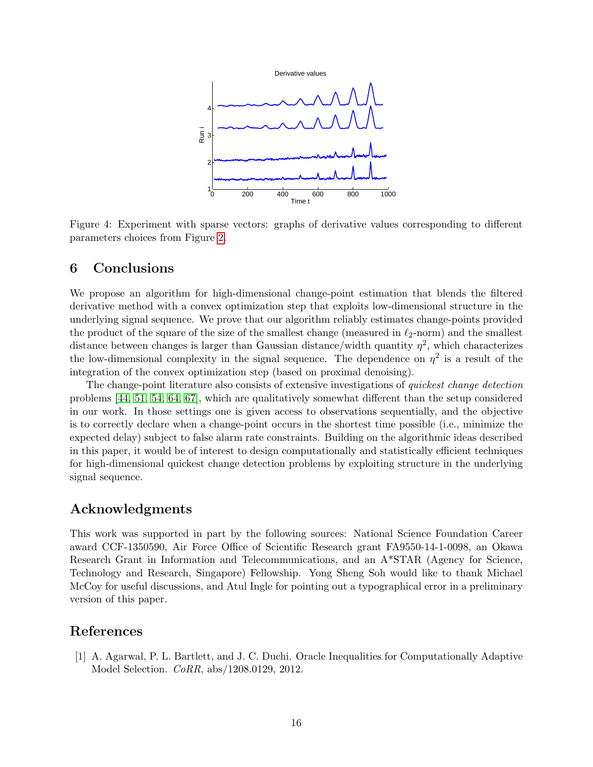

<span id="page-15-2"></span>Figure 4: Experiment with sparse vectors: graphs of derivative values corresponding to different parameters choices from Figure [2.](#page-14-0)

# <span id="page-15-0"></span>6 Conclusions

We propose an algorithm for high-dimensional change-point estimation that blends the filtered derivative method with a convex optimization step that exploits low-dimensional structure in the underlying signal sequence. We prove that our algorithm reliably estimates change-points provided the product of the square of the size of the smallest change (measured in  $\ell_{2}$ -norm) and the smallest distance between changes is larger than Gaussian distance/width quantity  $\eta^2$ , which characterizes the low-dimensional complexity in the signal sequence. The dependence on  $\eta^2$  is a result of the integration of the convex optimization step (based on proximal denoising).

The change-point literature also consists of extensive investigations of quickest change detection problems [\[44,](#page-18-12) [51,](#page-18-13) [54,](#page-19-0) [64,](#page-19-16) [67\]](#page-19-1), which are qualitatively somewhat different than the setup considered in our work. In those settings one is given access to observations sequentially, and the objective is to correctly declare when a change-point occurs in the shortest time possible (i.e., minimize the expected delay) subject to false alarm rate constraints. Building on the algorithmic ideas described in this paper, it would be of interest to design computationally and statistically efficient techniques for high-dimensional quickest change detection problems by exploiting structure in the underlying signal sequence.

### Acknowledgments

This work was supported in part by the following sources: National Science Foundation Career award CCF-1350590, Air Force Office of Scientific Research grant FA9550-14-1-0098, an Okawa Research Grant in Information and Telecommunications, and an A\*STAR (Agency for Science, Technology and Research, Singapore) Fellowship. Yong Sheng Soh would like to thank Michael McCoy for useful discussions, and Atul Ingle for pointing out a typographical error in a preliminary version of this paper.

### References

<span id="page-15-1"></span>[1] A. Agarwal, P. L. Bartlett, and J. C. Duchi. Oracle Inequalities for Computationally Adaptive Model Selection. CoRR, abs/1208.0129, 2012.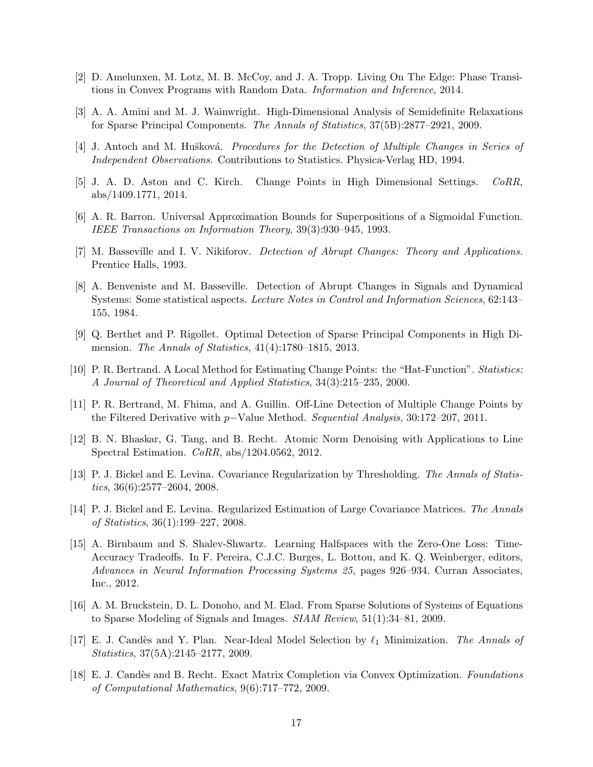- <span id="page-16-16"></span>[2] D. Amelunxen, M. Lotz, M. B. McCoy, and J. A. Tropp. Living On The Edge: Phase Transitions in Convex Programs with Random Data. Information and Inference, 2014.
- <span id="page-16-14"></span>[3] A. A. Amini and M. J. Wainwright. High-Dimensional Analysis of Semidefinite Relaxations for Sparse Principal Components. The Annals of Statistics, 37(5B):2877–2921, 2009.
- <span id="page-16-1"></span>[4] J. Antoch and M. Hušková. *Procedures for the Detection of Multiple Changes in Series of* Independent Observations. Contributions to Statistics. Physica-Verlag HD, 1994.
- <span id="page-16-11"></span>[5] J. A. D. Aston and C. Kirch. Change Points in High Dimensional Settings. CoRR, abs/1409.1771, 2014.
- <span id="page-16-12"></span>[6] A. R. Barron. Universal Approximation Bounds for Superpositions of a Sigmoidal Function. IEEE Transactions on Information Theory, 39(3):930–945, 1993.
- <span id="page-16-0"></span>[7] M. Basseville and I. V. Nikiforov. Detection of Abrupt Changes: Theory and Applications. Prentice Halls, 1993.
- <span id="page-16-2"></span>[8] A. Benveniste and M. Basseville. Detection of Abrupt Changes in Signals and Dynamical Systems: Some statistical aspects. Lecture Notes in Control and Information Sciences, 62:143– 155, 1984.
- <span id="page-16-15"></span>[9] Q. Berthet and P. Rigollet. Optimal Detection of Sparse Principal Components in High Dimension. The Annals of Statistics, 41(4):1780–1815, 2013.
- <span id="page-16-3"></span>[10] P. R. Bertrand. A Local Method for Estimating Change Points: the "Hat-Function". Statistics: A Journal of Theoretical and Applied Statistics, 34(3):215–235, 2000.
- <span id="page-16-4"></span>[11] P. R. Bertrand, M. Fhima, and A. Guillin. Off-Line Detection of Multiple Change Points by the Filtered Derivative with p−Value Method. Sequential Analysis, 30:172–207, 2011.
- <span id="page-16-5"></span>[12] B. N. Bhaskar, G. Tang, and B. Recht. Atomic Norm Denoising with Applications to Line Spectral Estimation. CoRR, abs/1204.0562, 2012.
- <span id="page-16-7"></span>[13] P. J. Bickel and E. Levina. Covariance Regularization by Thresholding. The Annals of Statistics, 36(6):2577–2604, 2008.
- <span id="page-16-8"></span>[14] P. J. Bickel and E. Levina. Regularized Estimation of Large Covariance Matrices. The Annals of Statistics, 36(1):199–227, 2008.
- <span id="page-16-13"></span>[15] A. Birnbaum and S. Shalev-Shwartz. Learning Halfspaces with the Zero-One Loss: Time-Accuracy Tradeoffs. In F. Pereira, C.J.C. Burges, L. Bottou, and K. Q. Weinberger, editors, Advances in Neural Information Processing Systems 25, pages 926–934. Curran Associates, Inc., 2012.
- <span id="page-16-9"></span>[16] A. M. Bruckstein, D. L. Donoho, and M. Elad. From Sparse Solutions of Systems of Equations to Sparse Modeling of Signals and Images. SIAM Review, 51(1):34–81, 2009.
- <span id="page-16-6"></span>[17] E. J. Candès and Y. Plan. Near-Ideal Model Selection by  $\ell_1$  Minimization. The Annals of Statistics, 37(5A):2145–2177, 2009.
- <span id="page-16-10"></span>[18] E. J. Candès and B. Recht. Exact Matrix Completion via Convex Optimization. Foundations of Computational Mathematics, 9(6):717–772, 2009.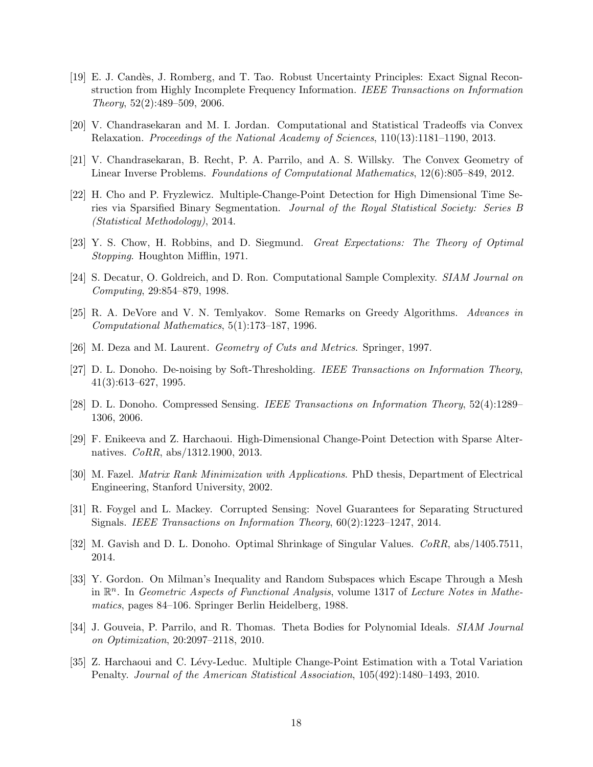- <span id="page-17-3"></span>[19] E. J. Cand`es, J. Romberg, and T. Tao. Robust Uncertainty Principles: Exact Signal Reconstruction from Highly Incomplete Frequency Information. IEEE Transactions on Information Theory, 52(2):489–509, 2006.
- <span id="page-17-7"></span>[20] V. Chandrasekaran and M. I. Jordan. Computational and Statistical Tradeoffs via Convex Relaxation. Proceedings of the National Academy of Sciences, 110(13):1181–1190, 2013.
- <span id="page-17-4"></span>[21] V. Chandrasekaran, B. Recht, P. A. Parrilo, and A. S. Willsky. The Convex Geometry of Linear Inverse Problems. Foundations of Computational Mathematics, 12(6):805–849, 2012.
- <span id="page-17-10"></span>[22] H. Cho and P. Fryzlewicz. Multiple-Change-Point Detection for High Dimensional Time Series via Sparsified Binary Segmentation. Journal of the Royal Statistical Society: Series B (Statistical Methodology), 2014.
- <span id="page-17-0"></span>[23] Y. S. Chow, H. Robbins, and D. Siegmund. Great Expectations: The Theory of Optimal Stopping. Houghton Mifflin, 1971.
- <span id="page-17-14"></span>[24] S. Decatur, O. Goldreich, and D. Ron. Computational Sample Complexity. SIAM Journal on Computing, 29:854–879, 1998.
- <span id="page-17-12"></span>[25] R. A. DeVore and V. N. Temlyakov. Some Remarks on Greedy Algorithms. Advances in Computational Mathematics, 5(1):173–187, 1996.
- <span id="page-17-16"></span>[26] M. Deza and M. Laurent. Geometry of Cuts and Metrics. Springer, 1997.
- <span id="page-17-1"></span>[27] D. L. Donoho. De-noising by Soft-Thresholding. IEEE Transactions on Information Theory, 41(3):613–627, 1995.
- <span id="page-17-5"></span>[28] D. L. Donoho. Compressed Sensing. IEEE Transactions on Information Theory, 52(4):1289– 1306, 2006.
- <span id="page-17-11"></span>[29] F. Enikeeva and Z. Harchaoui. High-Dimensional Change-Point Detection with Sparse Alternatives. CoRR, abs/1312.1900, 2013.
- <span id="page-17-8"></span>[30] M. Fazel. Matrix Rank Minimization with Applications. PhD thesis, Department of Electrical Engineering, Stanford University, 2002.
- <span id="page-17-6"></span>[31] R. Foygel and L. Mackey. Corrupted Sensing: Novel Guarantees for Separating Structured Signals. IEEE Transactions on Information Theory, 60(2):1223–1247, 2014.
- <span id="page-17-2"></span>[32] M. Gavish and D. L. Donoho. Optimal Shrinkage of Singular Values. CoRR, abs/1405.7511, 2014.
- <span id="page-17-13"></span>[33] Y. Gordon. On Milman's Inequality and Random Subspaces which Escape Through a Mesh in  $\mathbb{R}^n$ . In Geometric Aspects of Functional Analysis, volume 1317 of Lecture Notes in Mathematics, pages 84–106. Springer Berlin Heidelberg, 1988.
- <span id="page-17-15"></span>[34] J. Gouveia, P. Parrilo, and R. Thomas. Theta Bodies for Polynomial Ideals. SIAM Journal on Optimization, 20:2097–2118, 2010.
- <span id="page-17-9"></span>[35] Z. Harchaoui and C. L´evy-Leduc. Multiple Change-Point Estimation with a Total Variation Penalty. Journal of the American Statistical Association, 105(492):1480–1493, 2010.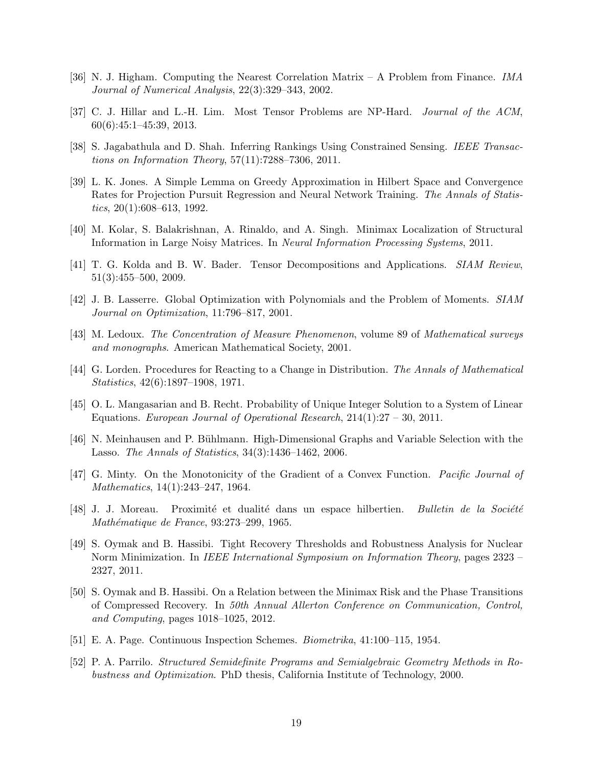- <span id="page-18-11"></span>[36] N. J. Higham. Computing the Nearest Correlation Matrix – A Problem from Finance. IMA Journal of Numerical Analysis, 22(3):329–343, 2002.
- <span id="page-18-6"></span>[37] C. J. Hillar and L.-H. Lim. Most Tensor Problems are NP-Hard. Journal of the ACM, 60(6):45:1–45:39, 2013.
- <span id="page-18-4"></span>[38] S. Jagabathula and D. Shah. Inferring Rankings Using Constrained Sensing. IEEE Transactions on Information Theory, 57(11):7288–7306, 2011.
- <span id="page-18-1"></span>[39] L. K. Jones. A Simple Lemma on Greedy Approximation in Hilbert Space and Convergence Rates for Projection Pursuit Regression and Neural Network Training. The Annals of Statistics,  $20(1):608-613$ , 1992.
- <span id="page-18-8"></span>[40] M. Kolar, S. Balakrishnan, A. Rinaldo, and A. Singh. Minimax Localization of Structural Information in Large Noisy Matrices. In Neural Information Processing Systems, 2011.
- <span id="page-18-5"></span>[41] T. G. Kolda and B. W. Bader. Tensor Decompositions and Applications. SIAM Review, 51(3):455–500, 2009.
- <span id="page-18-9"></span>[42] J. B. Lasserre. Global Optimization with Polynomials and the Problem of Moments. SIAM Journal on Optimization, 11:796–817, 2001.
- <span id="page-18-14"></span>[43] M. Ledoux. The Concentration of Measure Phenomenon, volume 89 of Mathematical surveys and monographs. American Mathematical Society, 2001.
- <span id="page-18-12"></span>[44] G. Lorden. Procedures for Reacting to a Change in Distribution. The Annals of Mathematical Statistics, 42(6):1897–1908, 1971.
- <span id="page-18-3"></span>[45] O. L. Mangasarian and B. Recht. Probability of Unique Integer Solution to a System of Linear Equations. European Journal of Operational Research, 214(1):27 – 30, 2011.
- <span id="page-18-0"></span>[46] N. Meinhausen and P. B¨uhlmann. High-Dimensional Graphs and Variable Selection with the Lasso. The Annals of Statistics, 34(3):1436–1462, 2006.
- <span id="page-18-15"></span>[47] G. Minty. On the Monotonicity of the Gradient of a Convex Function. Pacific Journal of Mathematics, 14(1):243–247, 1964.
- <span id="page-18-16"></span>[48] J. J. Moreau. Proximité et dualité dans un espace hilbertien. Bulletin de la Société Mathématique de France, 93:273-299, 1965.
- <span id="page-18-7"></span>[49] S. Oymak and B. Hassibi. Tight Recovery Thresholds and Robustness Analysis for Nuclear Norm Minimization. In IEEE International Symposium on Information Theory, pages 2323 – 2327, 2011.
- <span id="page-18-2"></span>[50] S. Oymak and B. Hassibi. On a Relation between the Minimax Risk and the Phase Transitions of Compressed Recovery. In 50th Annual Allerton Conference on Communication, Control, and Computing, pages 1018–1025, 2012.
- <span id="page-18-13"></span>[51] E. A. Page. Continuous Inspection Schemes. Biometrika, 41:100–115, 1954.
- <span id="page-18-10"></span>[52] P. A. Parrilo. Structured Semidefinite Programs and Semialgebraic Geometry Methods in Robustness and Optimization. PhD thesis, California Institute of Technology, 2000.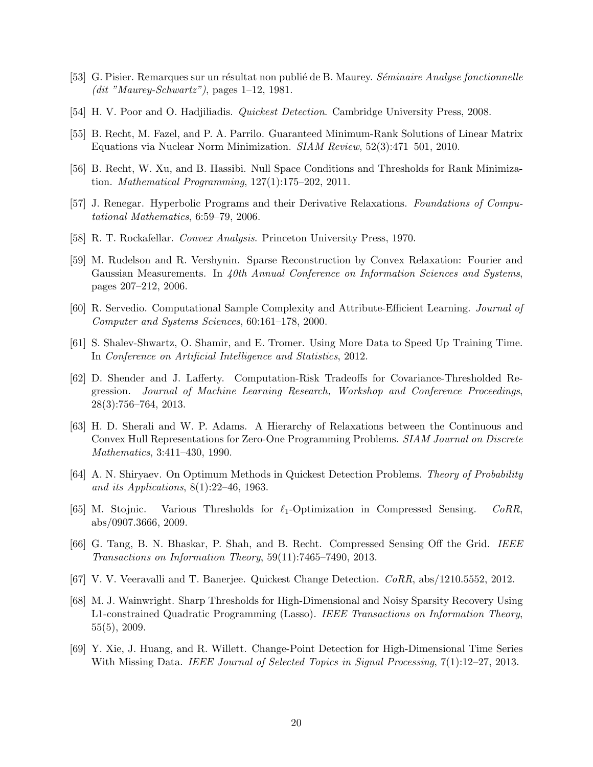- <span id="page-19-6"></span>[53] G. Pisier. Remarques sur un résultat non publié de B. Maurey. Séminaire Analyse fonctionnelle  $(dit$  "Maurey-Schwartz"), pages  $1-12$ , 1981.
- <span id="page-19-0"></span>[54] H. V. Poor and O. Hadjiliadis. *Quickest Detection*. Cambridge University Press, 2008.
- <span id="page-19-3"></span>[55] B. Recht, M. Fazel, and P. A. Parrilo. Guaranteed Minimum-Rank Solutions of Linear Matrix Equations via Nuclear Norm Minimization. SIAM Review, 52(3):471–501, 2010.
- <span id="page-19-10"></span>[56] B. Recht, W. Xu, and B. Hassibi. Null Space Conditions and Thresholds for Rank Minimization. *Mathematical Programming*,  $127(1):175-202$ ,  $2011$ .
- <span id="page-19-14"></span>[57] J. Renegar. Hyperbolic Programs and their Derivative Relaxations. Foundations of Computational Mathematics, 6:59–79, 2006.
- <span id="page-19-7"></span>[58] R. T. Rockafellar. Convex Analysis. Princeton University Press, 1970.
- <span id="page-19-8"></span>[59] M. Rudelson and R. Vershynin. Sparse Reconstruction by Convex Relaxation: Fourier and Gaussian Measurements. In 40th Annual Conference on Information Sciences and Systems, pages 207–212, 2006.
- <span id="page-19-11"></span>[60] R. Servedio. Computational Sample Complexity and Attribute-Efficient Learning. Journal of Computer and Systems Sciences, 60:161–178, 2000.
- <span id="page-19-12"></span>[61] S. Shalev-Shwartz, O. Shamir, and E. Tromer. Using More Data to Speed Up Training Time. In Conference on Artificial Intelligence and Statistics, 2012.
- <span id="page-19-13"></span>[62] D. Shender and J. Lafferty. Computation-Risk Tradeoffs for Covariance-Thresholded Regression. Journal of Machine Learning Research, Workshop and Conference Proceedings, 28(3):756–764, 2013.
- <span id="page-19-15"></span>[63] H. D. Sherali and W. P. Adams. A Hierarchy of Relaxations between the Continuous and Convex Hull Representations for Zero-One Programming Problems. SIAM Journal on Discrete Mathematics, 3:411–430, 1990.
- <span id="page-19-16"></span>[64] A. N. Shiryaev. On Optimum Methods in Quickest Detection Problems. Theory of Probability and its Applications, 8(1):22–46, 1963.
- <span id="page-19-9"></span>[65] M. Stojnic. Various Thresholds for  $\ell_1$ -Optimization in Compressed Sensing. CoRR, abs/0907.3666, 2009.
- <span id="page-19-4"></span>[66] G. Tang, B. N. Bhaskar, P. Shah, and B. Recht. Compressed Sensing Off the Grid. IEEE Transactions on Information Theory, 59(11):7465–7490, 2013.
- <span id="page-19-1"></span>[67] V. V. Veeravalli and T. Banerjee. Quickest Change Detection. CoRR, abs/1210.5552, 2012.
- <span id="page-19-2"></span>[68] M. J. Wainwright. Sharp Thresholds for High-Dimensional and Noisy Sparsity Recovery Using L1-constrained Quadratic Programming (Lasso). IEEE Transactions on Information Theory, 55(5), 2009.
- <span id="page-19-5"></span>[69] Y. Xie, J. Huang, and R. Willett. Change-Point Detection for High-Dimensional Time Series With Missing Data. IEEE Journal of Selected Topics in Signal Processing, 7(1):12–27, 2013.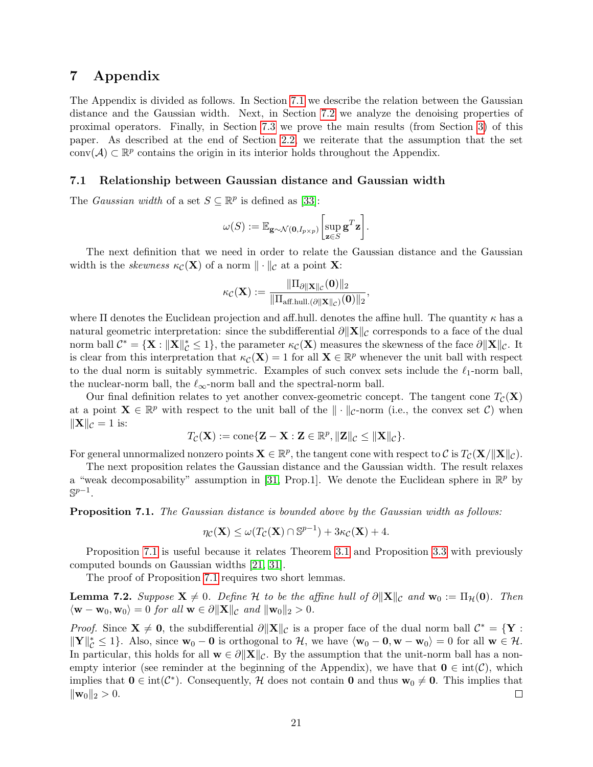# 7 Appendix

The Appendix is divided as follows. In Section [7.1](#page-20-0) we describe the relation between the Gaussian distance and the Gaussian width. Next, in Section [7.2](#page-22-0) we analyze the denoising properties of proximal operators. Finally, in Section [7.3](#page-23-0) we prove the main results (from Section [3\)](#page-5-0) of this paper. As described at the end of Section [2.2,](#page-3-2) we reiterate that the assumption that the set conv $(\mathcal{A}) \subset \mathbb{R}^p$  contains the origin in its interior holds throughout the Appendix.

#### <span id="page-20-0"></span>7.1 Relationship between Gaussian distance and Gaussian width

The *Gaussian width* of a set  $S \subseteq \mathbb{R}^p$  is defined as [\[33\]](#page-17-13):

$$
\omega(S) := \mathbb{E}_{\mathbf{g} \sim \mathcal{N}(\mathbf{0}, I_{p \times p})} \bigg[ \sup_{\mathbf{z} \in S} \mathbf{g}^T \mathbf{z} \bigg].
$$

The next definition that we need in order to relate the Gaussian distance and the Gaussian width is the *skewness*  $\kappa_{\mathcal{C}}(\mathbf{X})$  of a norm  $\|\cdot\|_{\mathcal{C}}$  at a point **X**:

$$
\kappa_{\mathcal{C}}(\mathbf{X}):=\frac{\|\Pi_{\partial \|\mathbf{X}\|_{\mathcal{C}}}(\mathbf{0})\|_{2}}{\|\Pi_{\mathrm{aff.hull.}(\partial \|\mathbf{X}\|_{\mathcal{C}})}(\mathbf{0})\|_{2}},
$$

where  $\Pi$  denotes the Euclidean projection and aff.hull. denotes the affine hull. The quantity  $\kappa$  has a natural geometric interpretation: since the subdifferential  $\partial \|\mathbf{X}\|_{\mathcal{C}}$  corresponds to a face of the dual norm ball  $\mathcal{C}^* = \{ \mathbf{X} : ||\mathbf{X}||_{\mathcal{C}}^* \leq 1 \}$ , the parameter  $\kappa_{\mathcal{C}}(\mathbf{X})$  measures the skewness of the face  $\partial ||\mathbf{X}||_{\mathcal{C}}$ . It is clear from this interpretation that  $\kappa_{\mathcal{C}}(\mathbf{X}) = 1$  for all  $\mathbf{X} \in \mathbb{R}^p$  whenever the unit ball with respect to the dual norm is suitably symmetric. Examples of such convex sets include the  $\ell_1$ -norm ball, the nuclear-norm ball, the  $\ell_{\infty}$ -norm ball and the spectral-norm ball.

Our final definition relates to yet another convex-geometric concept. The tangent cone  $T_c(\mathbf{X})$ at a point  $\mathbf{X} \in \mathbb{R}^p$  with respect to the unit ball of the  $\|\cdot\|_{\mathcal{C}}$ -norm (i.e., the convex set  $\mathcal{C}$ ) when  $\|\mathbf{X}\|_{\mathcal{C}} = 1$  is:

$$
T_{\mathcal{C}}(\mathbf{X}):=\mathrm{cone}\{\mathbf{Z}-\mathbf{X}: \mathbf{Z}\in\mathbb{R}^p, \|\mathbf{Z}\|_{\mathcal{C}}\leq\|\mathbf{X}\|_{\mathcal{C}}\}.
$$

For general unnormalized nonzero points  $\mathbf{X} \in \mathbb{R}^p$ , the tangent cone with respect to C is  $T_{\mathcal{C}}(\mathbf{X}/\|\mathbf{X}\|_{\mathcal{C}})$ .

The next proposition relates the Gaussian distance and the Gaussian width. The result relaxes a "weak decomposability" assumption in [\[31,](#page-17-6) Prop.1]. We denote the Euclidean sphere in  $\mathbb{R}^p$  by  $\mathbb{S}^{p-1}$ .

<span id="page-20-1"></span>Proposition 7.1. The Gaussian distance is bounded above by the Gaussian width as follows:

$$
\eta_{\mathcal{C}}(\mathbf{X}) \le \omega(T_{\mathcal{C}}(\mathbf{X}) \cap \mathbb{S}^{p-1}) + 3\kappa_{\mathcal{C}}(\mathbf{X}) + 4.
$$

Proposition [7.1](#page-20-1) is useful because it relates Theorem [3.1](#page-6-1) and Proposition [3.3](#page-8-1) with previously computed bounds on Gaussian widths [\[21,](#page-17-4) [31\]](#page-17-6).

The proof of Proposition [7.1](#page-20-1) requires two short lemmas.

<span id="page-20-2"></span>**Lemma 7.2.** Suppose  $X \neq 0$ . Define H to be the affine hull of  $\partial ||X||_C$  and  $w_0 := \Pi_{\mathcal{H}}(0)$ . Then  $\langle \mathbf{w} - \mathbf{w}_0, \mathbf{w}_0 \rangle = 0$  for all  $\mathbf{w} \in \partial ||\mathbf{X}||_{\mathcal{C}}$  and  $||\mathbf{w}_0||_2 > 0$ .

*Proof.* Since  $X \neq 0$ , the subdifferential  $\partial ||X||_{\mathcal{C}}$  is a proper face of the dual norm ball  $\mathcal{C}^* = \{Y : X\}$  $||\mathbf{Y}||_{\mathcal{C}}^* \leq 1$ . Also, since  $\mathbf{w}_0 - \mathbf{0}$  is orthogonal to  $\mathcal{H}$ , we have  $\langle \mathbf{w}_0 - \mathbf{0}, \mathbf{w} - \mathbf{w}_0 \rangle = 0$  for all  $\mathbf{w} \in \mathcal{H}$ . In particular, this holds for all  $\mathbf{w} \in \partial \|\mathbf{X}\|_{\mathcal{C}}$ . By the assumption that the unit-norm ball has a nonempty interior (see reminder at the beginning of the Appendix), we have that  $\mathbf{0} \in \text{int}(\mathcal{C})$ , which implies that  $0 \in \text{int}(\mathcal{C}^*)$ . Consequently, H does not contain 0 and thus  $w_0 \neq 0$ . This implies that  $\|\mathbf{w}_0\|_2 > 0.$  $\Box$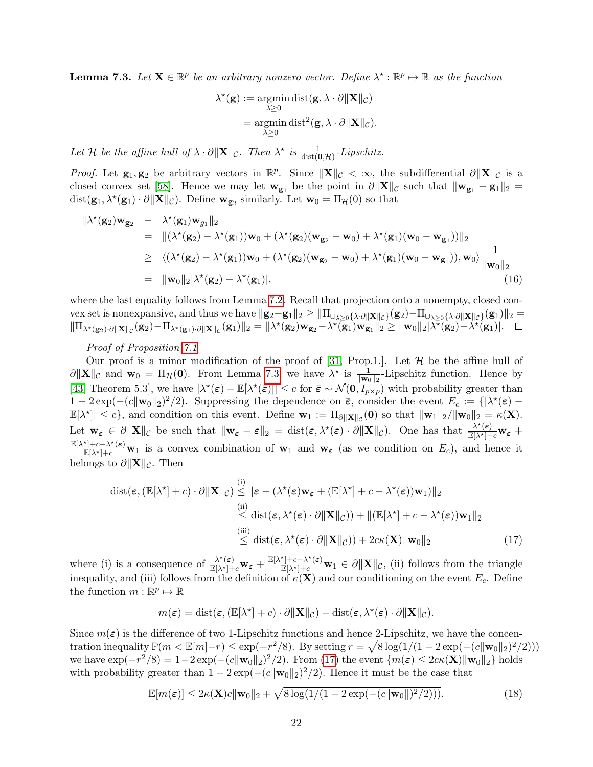<span id="page-21-0"></span>**Lemma 7.3.** Let  $X \in \mathbb{R}^p$  be an arbitrary nonzero vector. Define  $\lambda^* : \mathbb{R}^p \mapsto \mathbb{R}$  as the function

$$
\lambda^*(\mathbf{g}) := \operatornamewithlimits{argmin}_{\lambda \geq 0} \operatorname{dist}(\mathbf{g}, \lambda \cdot \partial \|\mathbf{X}\|_{\mathcal{C}}) \n= \operatornamewithlimits{argmin}_{\lambda \geq 0} \operatorname{dist}^2(\mathbf{g}, \lambda \cdot \partial \|\mathbf{X}\|_{\mathcal{C}}).
$$

Let H be the affine hull of  $\lambda \cdot \partial ||\mathbf{X}||_{\mathcal{C}}$ . Then  $\lambda^*$  is  $\frac{1}{dist(\mathbf{0},\mathcal{H})}$ -Lipschitz.

*Proof.* Let  $\mathbf{g}_1, \mathbf{g}_2$  be arbitrary vectors in  $\mathbb{R}^p$ . Since  $\|\mathbf{X}\|_{\mathcal{C}} < \infty$ , the subdifferential  $\partial \|\mathbf{X}\|_{\mathcal{C}}$  is a closed convex set [\[58\]](#page-19-7). Hence we may let  $\mathbf{w_{g_1}}$  be the point in  $\partial \|\mathbf{X}\|_c$  such that  $\|\mathbf{w_{g_1}} - \mathbf{g_1}\|_2$  =  $dist(\mathbf{g}_1, \lambda^*(\mathbf{g}_1) \cdot \partial ||\mathbf{X}||_{\mathcal{C}})$ . Define  $\mathbf{w}_{\mathbf{g}_2}$  similarly. Let  $\mathbf{w}_0 = \Pi_{\mathcal{H}}(0)$  so that

$$
\begin{aligned}\n\|\lambda^{\star}(\mathbf{g}_2)\mathbf{w}_{\mathbf{g}_2} &= \lambda^{\star}(\mathbf{g}_1)\mathbf{w}_{g_1}\|_2 \\
&= \|(\lambda^{\star}(\mathbf{g}_2) - \lambda^{\star}(\mathbf{g}_1))\mathbf{w}_0 + (\lambda^{\star}(\mathbf{g}_2)(\mathbf{w}_{\mathbf{g}_2} - \mathbf{w}_0) + \lambda^{\star}(\mathbf{g}_1)(\mathbf{w}_0 - \mathbf{w}_{\mathbf{g}_1}))\|_2 \\
&\geq \langle (\lambda^{\star}(\mathbf{g}_2) - \lambda^{\star}(\mathbf{g}_1))\mathbf{w}_0 + (\lambda^{\star}(\mathbf{g}_2)(\mathbf{w}_{\mathbf{g}_2} - \mathbf{w}_0) + \lambda^{\star}(\mathbf{g}_1)(\mathbf{w}_0 - \mathbf{w}_{\mathbf{g}_1})), \mathbf{w}_0 \rangle \frac{1}{\|\mathbf{w}_0\|_2} \\
&= \|\mathbf{w}_0\|_2|\lambda^{\star}(\mathbf{g}_2) - \lambda^{\star}(\mathbf{g}_1)|,\n\end{aligned} \tag{16}
$$

where the last equality follows from Lemma [7.2.](#page-20-2) Recall that projection onto a nonempty, closed convex set is nonexpansive, and thus we have  $||\mathbf{g}_2-\mathbf{g}_1||_2 \ge ||\Pi_{\cup_{\lambda\ge0}\{\lambda\cdot\partial ||\mathbf{X}||_C\}}(\mathbf{g}_2)-\Pi_{\cup_{\lambda\ge0}\{\lambda\cdot\partial ||\mathbf{X}||_C\}}(\mathbf{g}_1)||_2 =$  $\|\Pi_{\lambda^{\star}(\mathbf{g}_2)\cdot\partial\|\mathbf{X}\|_{\mathcal{C}}}(\mathbf{g}_2)-\Pi_{\lambda^{\star}(\mathbf{g}_1)\cdot\partial\|\mathbf{X}\|_{\mathcal{C}}}(\mathbf{g}_1)\|_2=\|\lambda^{\star}(\mathbf{g}_2)\mathbf{w}_{\mathbf{g}_2}-\lambda^{\star}(\mathbf{g}_1)\mathbf{w}_{\mathbf{g}_1}\|_2\geq \|\mathbf{w}_0\|_2|\lambda^{\star}(\mathbf{g}_2)-\lambda^{\star}(\mathbf{g}_1)|.$ 

### Proof of Proposition [7.1](#page-20-1)

Our proof is a minor modification of the proof of [\[31,](#page-17-6) Prop.1.]. Let  $\mathcal H$  be the affine hull of  $\partial \|\mathbf{X}\|_{\mathcal{C}}$  and  $\mathbf{w}_0 = \Pi_{\mathcal{H}}(\mathbf{0})$ . From Lemma [7.3,](#page-21-0) we have  $\lambda^*$  is  $\frac{1}{\|\mathbf{w}_0\|_2}$ -Lipschitz function. Hence by [\[43,](#page-18-14) Theorem 5.3], we have  $|\lambda^*(\epsilon) - \mathbb{E}[\lambda^*(\bar{\epsilon})]|\leq c$  for  $\bar{\epsilon} \sim \mathcal{N}(\mathbf{0}, I_{p\times p})$  with probability greater than  $1-2\exp(-(c\|\mathbf{w}_0\|_2)^2/2)$ . Suppressing the dependence on  $\bar{\varepsilon}$ , consider the event  $E_c := \{|\lambda^*(\varepsilon) - \lambda^*(\varepsilon)|\}$  $\mathbb{E}[\lambda^*] \leq c$ , and condition on this event. Define  $\mathbf{w}_1 := \Pi_{\partial \|\mathbf{X}\|_C}(\mathbf{0})$  so that  $\|\mathbf{w}_1\|_2 / \|\mathbf{w}_0\|_2 = \kappa(\mathbf{X})$ . Let  $\mathbf{w}_{\varepsilon} \in \partial \|\mathbf{X}\|_{\mathcal{C}}$  be such that  $\|\mathbf{w}_{\varepsilon} - \varepsilon\|_2 = \text{dist}(\varepsilon, \lambda^*(\varepsilon) \cdot \partial \|\mathbf{X}\|_{\mathcal{C}})$ . One has that  $\frac{\lambda^*(\varepsilon)}{\mathbb{E}[\lambda^*]+c} \mathbf{w}_{\varepsilon}$  +  $\frac{\mathbb{E}[\lambda^*]+c-\lambda^*(\varepsilon)}{\mathbb{E}[\lambda^*]+c}$  w<sub>1</sub> is a convex combination of w<sub>1</sub> and w<sub>e</sub> (as we condition on  $E_c$ ), and hence it belongs to  $\partial \|\mathbf{X}\|_{\mathcal{C}}$ . Then

$$
\operatorname{dist}(\varepsilon, (\mathbb{E}[\lambda^*] + c) \cdot \partial \|\mathbf{X}\|_{\mathcal{C}}) \stackrel{\text{(i)}}{\leq} \|\varepsilon - (\lambda^*(\varepsilon)\mathbf{w}_{\varepsilon} + (\mathbb{E}[\lambda^*] + c - \lambda^*(\varepsilon))\mathbf{w}_1)\|_2
$$
\n
$$
\stackrel{\text{(ii)}}{\leq} \operatorname{dist}(\varepsilon, \lambda^*(\varepsilon) \cdot \partial \|\mathbf{X}\|_{\mathcal{C}})) + \|(\mathbb{E}[\lambda^*] + c - \lambda^*(\varepsilon))\mathbf{w}_1\|_2
$$
\n
$$
\stackrel{\text{(iii)}}{\leq} \operatorname{dist}(\varepsilon, \lambda^*(\varepsilon) \cdot \partial \|\mathbf{X}\|_{\mathcal{C}})) + 2c\kappa(\mathbf{X})\|\mathbf{w}_0\|_2 \tag{17}
$$

where (i) is a consequence of  $\frac{\lambda^*(\varepsilon)}{\mathbb{E}[\lambda^*]+c} \mathbf{w}_{\varepsilon} + \frac{\mathbb{E}[\lambda^*]+c-\lambda^*(\varepsilon)}{\mathbb{E}[\lambda^*]+c} \mathbf{w}_1 \in \partial ||\mathbf{X}||_{\mathcal{C}}$ , (ii) follows from the triangle inequality, and (iii) follows from the definition of  $\kappa(\mathbf{X})$  and our conditioning on the event  $E_c$ . Define the function  $m : \mathbb{R}^p \mapsto \mathbb{R}$ 

<span id="page-21-1"></span>
$$
m(\boldsymbol{\varepsilon}) = \mathrm{dist}(\boldsymbol{\varepsilon}, (\mathbb{E}[\lambda^\star] + c) \cdot \partial \|\mathbf{X}\|_{\mathcal{C}}) - \mathrm{dist}(\boldsymbol{\varepsilon}, \lambda^\star(\boldsymbol{\varepsilon}) \cdot \partial \|\mathbf{X}\|_{\mathcal{C}}).
$$

Since  $m(\varepsilon)$  is the difference of two 1-Lipschitz functions and hence 2-Lipschitz, we have the concentration inequality  $\mathbb{P}(m < \mathbb{E}[m]-r) \leq \exp(-r^2/8)$ . By setting  $r = \sqrt{8 \log(1/(1-2 \exp(-(c||\mathbf{w}_0||_2)^2/2)))}$ we have  $\exp(-r^2/8) = 1-2\exp(-(c\|\mathbf{w}_0\|_2)^2/2)$ . From [\(17\)](#page-21-1) the event  $\{m(\boldsymbol{\varepsilon}) \leq 2c\kappa(\mathbf{X})\|\mathbf{w}_0\|_2\}$  holds with probability greater than  $1 - 2 \exp(-(c||\mathbf{w}_0||_2)^2/2)$ . Hence it must be the case that

<span id="page-21-2"></span>
$$
\mathbb{E}[m(\boldsymbol{\varepsilon})] \le 2\kappa(\mathbf{X})c \|\mathbf{w}_0\|_2 + \sqrt{8\log(1/(1-2\exp(-(c\|\mathbf{w}_0\|)^2/2)))}. \tag{18}
$$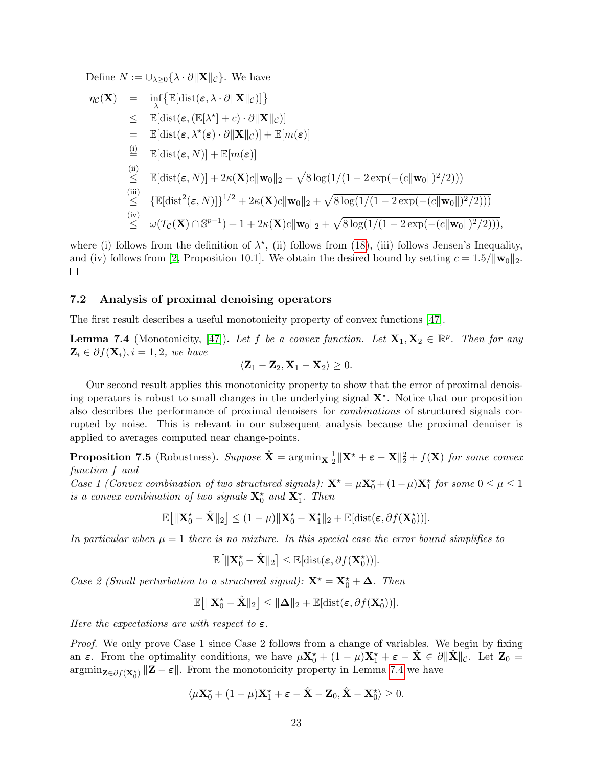Define  $N := \bigcup_{\lambda \geq 0} {\{\lambda \cdot \partial \|\mathbf{X}\|_{\mathcal{C}}\}}$ . We have

$$
\eta_{\mathcal{C}}(\mathbf{X}) = \inf_{\lambda} \{ \mathbb{E}[\text{dist}(\epsilon, \lambda \cdot \partial \|\mathbf{X}\|_{\mathcal{C}})] \}
$$
\n
$$
\leq \mathbb{E}[\text{dist}(\epsilon, (\mathbb{E}[\lambda^*] + c) \cdot \partial \|\mathbf{X}\|_{\mathcal{C}})]
$$
\n
$$
= \mathbb{E}[\text{dist}(\epsilon, \lambda^*(\epsilon) \cdot \partial \|\mathbf{X}\|_{\mathcal{C}})] + \mathbb{E}[m(\epsilon)]
$$
\n
$$
\stackrel{\text{(i)}}{=} \mathbb{E}[\text{dist}(\epsilon, N)] + \mathbb{E}[m(\epsilon)]
$$
\n
$$
\stackrel{\text{(ii)}}{\leq} \mathbb{E}[\text{dist}(\epsilon, N)] + 2\kappa(\mathbf{X})c \|\mathbf{w}_0\|_2 + \sqrt{8 \log(1/(1 - 2 \exp(-(c \|\mathbf{w}_0\|)^2/2)))}
$$
\n
$$
\stackrel{\text{(iii)}}{\leq} \{ \mathbb{E}[\text{dist}^2(\epsilon, N)] \}^{1/2} + 2\kappa(\mathbf{X})c \|\mathbf{w}_0\|_2 + \sqrt{8 \log(1/(1 - 2 \exp(-(c \|\mathbf{w}_0\|)^2/2)))}
$$
\n
$$
\stackrel{\text{(iv)}}{\leq} \omega(T_{\mathcal{C}}(\mathbf{X}) \cap \mathbb{S}^{p-1}) + 1 + 2\kappa(\mathbf{X})c \|\mathbf{w}_0\|_2 + \sqrt{8 \log(1/(1 - 2 \exp(-(c \|\mathbf{w}_0\|)^2/2)))},
$$

where (i) follows from the definition of  $\lambda^*$ , (ii) follows from [\(18\)](#page-21-2), (iii) follows Jensen's Inequality, and (iv) follows from [\[2,](#page-16-16) Proposition 10.1]. We obtain the desired bound by setting  $c = 1.5/\|\mathbf{w}_0\|_2$ .  $\Box$ 

#### <span id="page-22-0"></span>7.2 Analysis of proximal denoising operators

The first result describes a useful monotonicity property of convex functions [\[47\]](#page-18-15).

<span id="page-22-1"></span>**Lemma 7.4** (Monotonicity, [\[47\]](#page-18-15)). Let f be a convex function. Let  $X_1, X_2 \in \mathbb{R}^p$ . Then for any  $\mathbf{Z}_i \in \partial f(\mathbf{X}_i), i = 1, 2,$  we have

$$
\langle \mathbf{Z}_1 - \mathbf{Z}_2, \mathbf{X}_1 - \mathbf{X}_2 \rangle \geq 0.
$$

Our second result applies this monotonicity property to show that the error of proximal denoising operators is robust to small changes in the underlying signal  $X^*$ . Notice that our proposition also describes the performance of proximal denoisers for combinations of structured signals corrupted by noise. This is relevant in our subsequent analysis because the proximal denoiser is applied to averages computed near change-points.

<span id="page-22-2"></span>**Proposition 7.5** (Robustness). Suppose  $\hat{\mathbf{X}} = \operatorname{argmin}_{\mathbf{X}} \frac{1}{2}$  $\frac{1}{2} \|\mathbf{X}^{\star} + \boldsymbol{\varepsilon} - \mathbf{X}\|_2^2 + f(\mathbf{X})$  for some convex function f and

Case 1 (Convex combination of two structured signals):  $\mathbf{X}^{\star} = \mu \mathbf{X}_0^{\star} + (1 - \mu) \mathbf{X}_1^{\star}$  for some  $0 \le \mu \le 1$ is a convex combination of two signals  $\mathbf{X}_0^{\star}$  and  $\mathbf{X}_1^{\star}$ . Then

$$
\mathbb{E}\big[\|\mathbf{X}_0^\star - \hat{\mathbf{X}}\|_2\big] \leq (1-\mu)\|\mathbf{X}_0^\star - \mathbf{X}_1^\star\|_2 + \mathbb{E}[\text{dist}(\varepsilon, \partial f(\mathbf{X}_0^\star))].
$$

In particular when  $\mu = 1$  there is no mixture. In this special case the error bound simplifies to

$$
\mathbb{E}\big[\|\mathbf{X}_0^\star-\hat{\mathbf{X}}\|_2\big]\leq \mathbb{E}[\mathrm{dist}(\boldsymbol{\varepsilon},\partial f(\mathbf{X}_0^\star))].
$$

Case 2 (Small perturbation to a structured signal):  $\mathbf{X}^* = \mathbf{X}_0^* + \mathbf{\Delta}$ . Then

$$
\mathbb{E}\big[\|\mathbf{X}_0^{\star}-\hat{\mathbf{X}}\|_2\big] \leq \|\mathbf{\Delta}\|_2 + \mathbb{E}[\mathrm{dist}(\varepsilon, \partial f(\mathbf{X}_0^{\star}))].
$$

Here the expectations are with respect to  $\varepsilon$ .

*Proof.* We only prove Case 1 since Case 2 follows from a change of variables. We begin by fixing an  $\varepsilon$ . From the optimality conditions, we have  $\mu \mathbf{X}_0^{\star} + (1 - \mu) \mathbf{X}_1^{\star} + \varepsilon - \hat{\mathbf{X}} \in \partial ||\hat{\mathbf{X}}||_{\mathcal{C}}$ . Let  $\mathbf{Z}_0 =$  $\operatorname{argmin}_{\mathbf{Z} \in \partial f(\mathbf{X}_0^*)} \|\mathbf{Z} - \boldsymbol{\varepsilon}\|$ . From the monotonicity property in Lemma [7.4](#page-22-1) we have

$$
\langle \mu \mathbf{X}_0^{\star} + (1 - \mu) \mathbf{X}_1^{\star} + \varepsilon - \hat{\mathbf{X}} - \mathbf{Z}_0, \hat{\mathbf{X}} - \mathbf{X}_0^{\star} \rangle \ge 0.
$$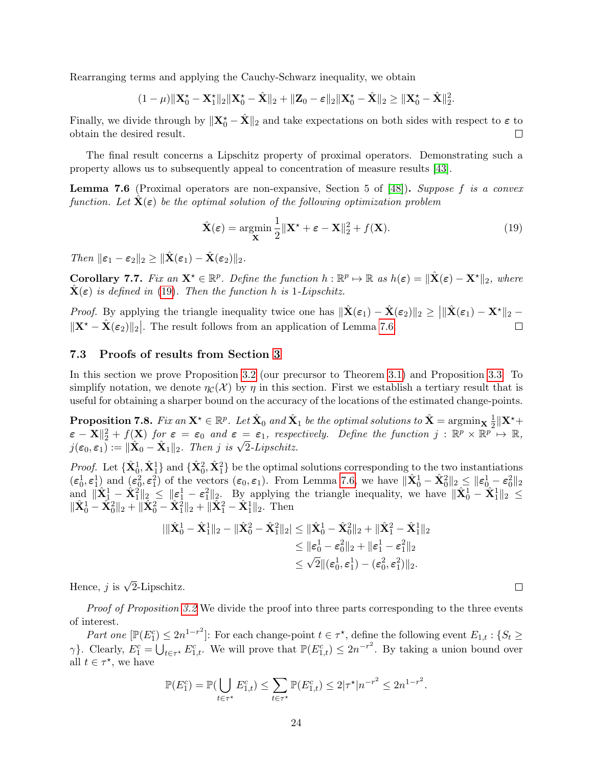Rearranging terms and applying the Cauchy-Schwarz inequality, we obtain

$$
(1-\mu)\|\mathbf{X}_0^{\star}-\mathbf{X}_1^{\star}\|_2\|\mathbf{X}_0^{\star}-\hat{\mathbf{X}}\|_2+\|\mathbf{Z}_0-\boldsymbol{\varepsilon}\|_2\|\mathbf{X}_0^{\star}-\hat{\mathbf{X}}\|_2\geq\|\mathbf{X}_0^{\star}-\hat{\mathbf{X}}\|_2^2.
$$

Finally, we divide through by  $\|\mathbf{X}_0^* - \hat{\mathbf{X}}\|_2$  and take expectations on both sides with respect to  $\varepsilon$  to obtain the desired result. П

The final result concerns a Lipschitz property of proximal operators. Demonstrating such a property allows us to subsequently appeal to concentration of measure results [\[43\]](#page-18-14).

<span id="page-23-2"></span>**Lemma 7.6** (Proximal operators are non-expansive, Section 5 of [\[48\]](#page-18-16)). Suppose f is a convex function. Let  $X(\varepsilon)$  be the optimal solution of the following optimization problem

<span id="page-23-1"></span>
$$
\hat{\mathbf{X}}(\boldsymbol{\varepsilon}) = \underset{\mathbf{X}}{\operatorname{argmin}} \frac{1}{2} ||\mathbf{X}^{\star} + \boldsymbol{\varepsilon} - \mathbf{X}||_2^2 + f(\mathbf{X}).
$$
\n(19)

Then  $\|\varepsilon_1 - \varepsilon_2\|_2 > \|\hat{\mathbf{X}}(\varepsilon_1) - \hat{\mathbf{X}}(\varepsilon_2)\|_2.$ 

<span id="page-23-3"></span>**Corollary 7.7.** Fix an  $\mathbf{X}^* \in \mathbb{R}^p$ . Define the function  $h : \mathbb{R}^p \mapsto \mathbb{R}$  as  $h(\varepsilon) = ||\hat{\mathbf{X}}(\varepsilon) - \mathbf{X}^*||_2$ , where  $\mathbf{X}(\boldsymbol{\varepsilon})$  is defined in [\(19\)](#page-23-1). Then the function h is 1-Lipschitz.

*Proof.* By applying the triangle inequality twice one has  $\|\hat{\mathbf{X}}(\boldsymbol{\varepsilon}_1) - \hat{\mathbf{X}}(\boldsymbol{\varepsilon}_2)\|_2 \geq ||\|\hat{\mathbf{X}}(\boldsymbol{\varepsilon}_1) - \mathbf{X}^{\star}\|_2$  $||\mathbf{X}^* - \hat{\mathbf{X}}(\varepsilon_2)||_2$ . The result follows from an application of Lemma [7.6.](#page-23-2)

#### <span id="page-23-0"></span>7.3 Proofs of results from Section [3](#page-5-0)

In this section we prove Proposition [3.2](#page-8-0) (our precursor to Theorem [3.1\)](#page-6-1) and Proposition [3.3.](#page-8-1) To simplify notation, we denote  $\eta_c(\mathcal{X})$  by  $\eta$  in this section. First we establish a tertiary result that is useful for obtaining a sharper bound on the accuracy of the locations of the estimated change-points.

<span id="page-23-4"></span> $\bf{Proposition 7.8.}$  Fix an  ${\bf X}^\star\in \mathbb{R}^p$ . Let  $\hat{{\bf X}}_0$  and  $\hat{{\bf X}}_1$  be the optimal solutions to  $\hat{{\bf X}}=\mathop{\rm argmin}\nolimits_{{\bf X}}\frac{1}{2}\|{\bf X}^\star+$ **EXECUTE:**  $\mathcal{L} = \mathbb{E} \times \mathbb{E} \times \mathbb{E} \times \mathbb{E} \times \mathbb{E} \times \mathbb{E} \times \mathbb{E} \times \mathbb{E} \times \mathbb{E} \times \mathbb{E} \times \mathbb{E} \times \mathbb{E} \times \mathbb{E} \times \mathbb{E} \times \mathbb{E} \times \mathbb{E} \times \mathbb{E} \times \mathbb{E} \times \mathbb{E} \times \mathbb{E} \times \mathbb{E} \times \mathbb{E} \times \mathbb{E} \times \mathbb{E} \times \mathbb{E} \times \math$  $\varepsilon - \mathbf{X} \parallel_2^2 + f(\mathbf{X})$  for  $\varepsilon = \varepsilon_0$  and  $\varepsilon = \varepsilon_1$ , respectively  $j(\varepsilon_0, \varepsilon_1) := ||\hat{\mathbf{X}}_0 - \hat{\mathbf{X}}_1||_2$ . Then j is  $\sqrt{2}$ -Lipschitz.

*Proof.* Let  $\{\hat{\mathbf{X}}_0^1, \hat{\mathbf{X}}_1^1\}$  and  $\{\hat{\mathbf{X}}_0^2, \hat{\mathbf{X}}_1^2\}$  be the optimal solutions corresponding to the two instantiations  $(\epsilon_0^1, \epsilon_1^1)$  and  $(\epsilon_0^2, \epsilon_1^2)$  of the vectors  $(\epsilon_0, \epsilon_1)$ . From Lemma [7.6,](#page-23-2) we have  $\|\hat{\mathbf{X}}_0^1 - \hat{\mathbf{X}}_0^2\|_2 \leq \|\epsilon_0^1 - \epsilon_0^2\|_2$ and  $\|\hat{\mathbf{X}}_1^1 - \hat{\mathbf{X}}_1^2\|_2 \leq \|\boldsymbol{\varepsilon}_1^1 - \boldsymbol{\varepsilon}_1^2\|_2$ . By applying the triangle inequality, we have  $\|\hat{\mathbf{X}}_0^1 - \hat{\mathbf{X}}_1^1\|_2 \leq$  $\|\hat{\mathbf{X}}_0^1 - \hat{\mathbf{X}}_0^2\|_2 + \|\hat{\mathbf{X}}_0^2 - \hat{\mathbf{X}}_1^2\|_2 + \|\hat{\mathbf{X}}_1^2 - \hat{\mathbf{X}}_1^1\|_2.$  Then

$$
\begin{aligned} |\|\hat{\mathbf{X}}_0^1 - \hat{\mathbf{X}}_1^1\|_2 - \|\hat{\mathbf{X}}_0^2 - \hat{\mathbf{X}}_1^2\|_2| &\leq \|\hat{\mathbf{X}}_0^1 - \hat{\mathbf{X}}_0^2\|_2 + \|\hat{\mathbf{X}}_1^2 - \hat{\mathbf{X}}_1^1\|_2 \\ &\leq \|\varepsilon_0^1 - \varepsilon_0^2\|_2 + \|\varepsilon_1^1 - \varepsilon_1^2\|_2 \\ &\leq \sqrt{2}\|(\varepsilon_0^1, \varepsilon_1^1) - (\varepsilon_0^2, \varepsilon_1^2)\|_2. \end{aligned}
$$

Hence, *j* is  $\sqrt{2}$ -Lipschitz.

Proof of Proposition [3.2](#page-8-0) We divide the proof into three parts corresponding to the three events of interest.

Part one  $[\mathbb{P}(E_1^c) \leq 2n^{1-r^2}]$ : For each change-point  $t \in \tau^*$ , define the following event  $E_{1,t}$ : { $S_t \geq$  $\gamma$ }. Clearly,  $E_1^c = \bigcup_{t \in \tau^*} E_{1,t}^c$ . We will prove that  $\mathbb{P}(E_{1,t}^c) \leq 2n^{-r^2}$ . By taking a union bound over all  $t \in \tau^*$ , we have

$$
\mathbb{P}(E_1^c) = \mathbb{P}(\bigcup_{t \in \tau^{\star}} E_{1,t}^c) \le \sum_{t \in \tau^{\star}} \mathbb{P}(E_{1,t}^c) \le 2|\tau^{\star}|n^{-r^2} \le 2n^{1-r^2}.
$$

 $\Box$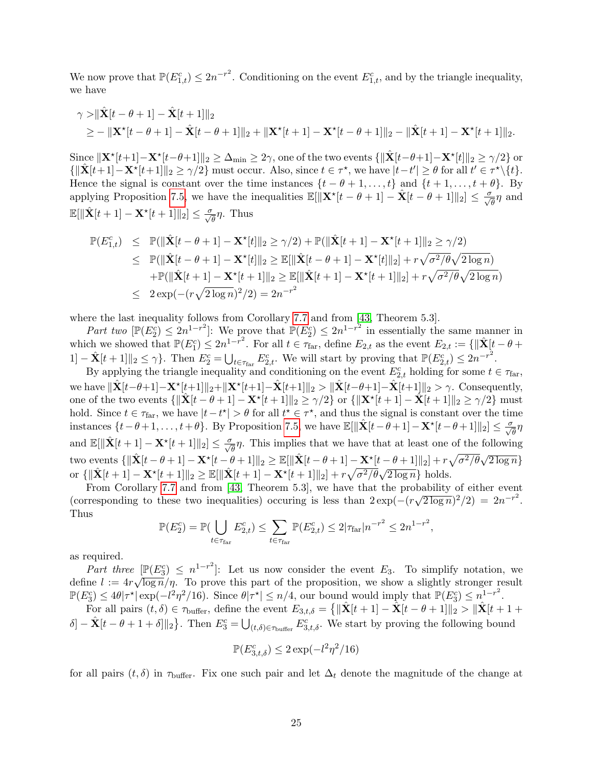We now prove that  $\mathbb{P}(E_{1,t}^c) \leq 2n^{-r^2}$ . Conditioning on the event  $E_{1,t}^c$ , and by the triangle inequality, we have

$$
\gamma > ||\hat{\mathbf{X}}[t-\theta+1] - \hat{\mathbf{X}}[t+1]||_2
$$
  
\n
$$
\geq - ||\mathbf{X}^{\star}[t-\theta+1] - \hat{\mathbf{X}}[t-\theta+1]||_2 + ||\mathbf{X}^{\star}[t+1] - \mathbf{X}^{\star}[t-\theta+1]||_2 - ||\hat{\mathbf{X}}[t+1] - \mathbf{X}^{\star}[t+1]||_2.
$$

Since  $\|\mathbf{X}^\star[t+1] - \mathbf{X}^\star[t-\theta+1]\|_2 \geq \Delta_{\min} \geq 2\gamma$ , one of the two events  $\{\|\hat{\mathbf{X}}[t-\theta+1] - \mathbf{X}^\star[t]\|_2 \geq \gamma/2\}$  or  $\{\|\hat{\mathbf{X}}[t+1] - \mathbf{X}^{\star}[t+1]\|_{2} \geq \gamma/2\}$  must occur. Also, since  $t \in \tau^{\star}$ , we have  $|t-t'| \geq \theta$  for all  $t' \in \tau^{\star} \setminus \{t\}$ . Hence the signal is constant over the time instances  $\{t - \theta + 1, \ldots, t\}$  and  $\{t + 1, \ldots, t + \theta\}$ . By applying Proposition [7.5,](#page-22-2) we have the inequalities  $\mathbb{E}[\|\mathbf{X}^{\star}[t-\theta+1] - \hat{\mathbf{X}}[t-\theta+1]\|_2] \le \frac{\sigma}{\sqrt{\theta}}\eta$  and  $\mathbb{E}[\|\hat{\mathbf{X}}[t+1] - \mathbf{X}^{\star}[t+1]\|_2] \le \frac{\sigma}{\sqrt{\theta}}\eta$ . Thus

$$
\mathbb{P}(E_{1,t}^c) \leq \mathbb{P}(\|\hat{\mathbf{X}}[t-\theta+1] - \mathbf{X}^{\star}[t]\|_{2} \geq \gamma/2) + \mathbb{P}(\|\hat{\mathbf{X}}[t+1] - \mathbf{X}^{\star}[t+1]\|_{2} \geq \gamma/2) \leq \mathbb{P}(\|\hat{\mathbf{X}}[t-\theta+1] - \mathbf{X}^{\star}[t]\|_{2} \geq \mathbb{E}[\|\hat{\mathbf{X}}[t-\theta+1] - \mathbf{X}^{\star}[t]\|_{2}] + r\sqrt{\sigma^{2}/\theta}\sqrt{2\log n} \n+ \mathbb{P}(\|\hat{\mathbf{X}}[t+1] - \mathbf{X}^{\star}[t+1]\|_{2} \geq \mathbb{E}[\|\hat{\mathbf{X}}[t+1] - \mathbf{X}^{\star}[t+1]\|_{2}] + r\sqrt{\sigma^{2}/\theta}\sqrt{2\log n} \n\leq 2\exp(-(r\sqrt{2\log n})^{2}/2) = 2n^{-r^{2}}
$$

where the last inequality follows from Corollary [7.7](#page-23-3) and from [\[43,](#page-18-14) Theorem 5.3].

Part two  $[\mathbb{P}(E_2^c) \leq 2n^{1-r^2}]$ : We prove that  $\mathbb{P}(E_2^c) \leq 2n^{1-r^2}$  in essentially the same manner in which we showed that  $\mathbb{P}(E_1^c) \leq 2n^{1-r^2}$ . For all  $t \in \tau_{\text{far}}$ , define  $E_{2,t}$  as the event  $E_{2,t} := \{ ||\hat{\mathbf{X}}[t - \theta + \hat{\mathbf{X}}(t - \hat{\theta})|| > \tau_{\text{far}}\}$  $1]-\hat{\mathbf{X}}[t+1]\|_2 \leq \gamma\}.$  Then  $E_2^c = \bigcup_{t \in \tau_{\text{far}}} E_{2,t}^c$ . We will start by proving that  $\mathbb{P}(E_{2,t}^c) \leq 2n^{-r^2}$ .

By applying the triangle inequality and conditioning on the event  $E_{2,t}^c$  holding for some  $t \in \tau_{\text{far}}$ , we have  $\|\hat{\mathbf{X}}[t-\theta+1] - \mathbf{X}^{\star}[t+1]\|_2 + \|\mathbf{X}^{\star}[t+1] - \hat{\mathbf{X}}[t+1]\|_2 > \|\hat{\mathbf{X}}[t-\theta+1] - \hat{\mathbf{X}}[t+1]\|_2 > \gamma.$  Consequently, one of the two events  $\{\|\hat{\mathbf{X}}[t - \theta + 1] - \mathbf{X}^{\star}[t + 1]\|_2 \geq \gamma/2\}$  or  $\{\|\mathbf{X}^{\star}[t + 1] - \hat{\mathbf{X}}[t + 1]\|_2 \geq \gamma/2\}$  must hold. Since  $t \in \tau_{\text{far}}$ , we have  $|t - t^*| > \theta$  for all  $t^* \in \tau^*$ , and thus the signal is constant over the time instances  $\{t-\theta+1,\ldots,t+\theta\}$ . By Proposition [7.5,](#page-22-2) we have  $\mathbb{E}[\|\hat{\mathbf{X}}[t-\theta+1]-\mathbf{X}^{\star}[t-\theta+1]\|_2] \leq \frac{\sigma}{\sqrt{\theta}}\eta$ and  $\mathbb{E}[\|\hat{\mathbf{X}}[t+1] - \mathbf{X}^{\star}[t+1]\|_2] \le \frac{\sigma}{\sqrt{\theta}}\eta$ . This implies that we have that at least one of the following two events  $\{\|\hat{\mathbf{X}}[t - \theta + 1] - \mathbf{X}^{\star}[t - \theta + 1]\|_2 \ge \mathbb{E}[\|\hat{\mathbf{X}}[t - \theta + 1] - \mathbf{X}^{\star}[t - \theta + 1]\|_2] + r\sqrt{\sigma^2/\theta}\sqrt{2\log n}\}$ or  $\{\|\hat{\mathbf{X}}[t+1] - \mathbf{X}^*[t+1]\|_2 \ge \mathbb{E}[\|\hat{\mathbf{X}}[t+1] - \mathbf{X}^*[t+1]\|_2] + r\sqrt{\sigma^2/\theta}\sqrt{2\log n}\}\)$  holds.

From Corollary [7.7](#page-23-3) and from [\[43,](#page-18-14) Theorem 5.3], we have that the probability of either event (corresponding to these two inequalities) occuring is less than  $2 \exp(-(r \cos \theta))$ ≀∪i  $\overline{2 \log n}$ <sup>2</sup>/2) =  $2n^{-r^2}$ . Thus

$$
\mathbb{P}(E_2^c) = \mathbb{P}(\bigcup_{t \in \tau_{\text{far}}} E_{2,t}^c) \le \sum_{t \in \tau_{\text{far}}} \mathbb{P}(E_{2,t}^c) \le 2|\tau_{\text{far}}|n^{-r^2} \le 2n^{1-r^2},
$$

as required.

Part three  $[\mathbb{P}(E_3^c) \leq n^{1-r^2}]$ : Let us now consider the event  $E_3$ . To simplify notation, we define  $l := 4r\sqrt{\log n}/\eta$ . To prove this part of the proposition, we show a slightly stronger result  $\mathbb{P}(E_3^c) \leq 4\theta |\tau^{\star}| \exp(-l^2\eta^2/16)$ . Since  $\theta |\tau^{\star}| \leq n/4$ , our bound would imply that  $\mathbb{P}(E_3^c) \leq n^{1-r^2}$ .

For all pairs  $(t, \delta) \in \tau_{\text{buffer}}$ , define the event  $E_{3,t,\delta} = \{ ||\hat{\mathbf{X}}[t+1] - \hat{\mathbf{X}}[t-\theta+1]||_2 > ||\hat{\mathbf{X}}[t+1+$  $\delta] - \hat{\mathbf{X}}[t-\theta+1+\delta] \|_{2}$ . Then  $E_3^c = \bigcup_{(t,\delta) \in \tau_{\text{buffer}}} E_{3,t,\delta}^c$ . We start by proving the following bound

$$
\mathbb{P}(E_{3,t,\delta}^c) \le 2\exp(-l^2\eta^2/16)
$$

for all pairs  $(t, \delta)$  in  $\tau_{\text{buffer}}$ . Fix one such pair and let  $\Delta_t$  denote the magnitude of the change at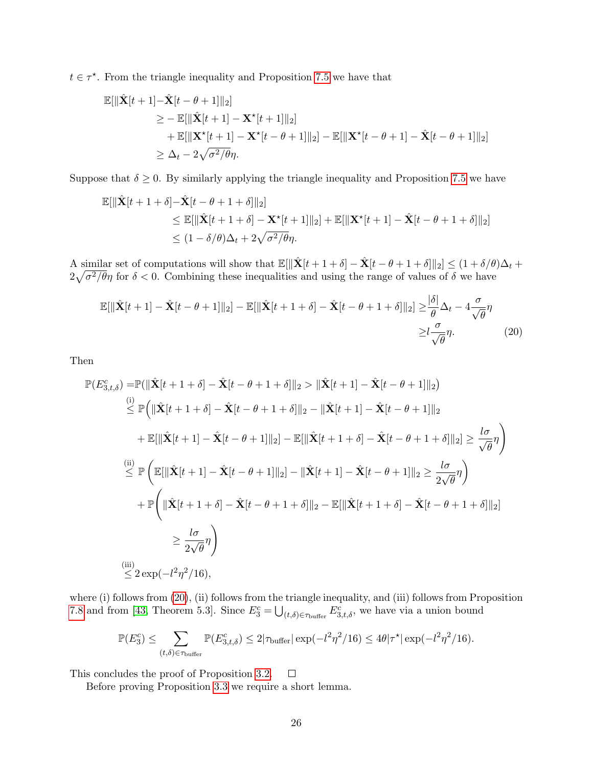$t \in \tau^*$ . From the triangle inequality and Proposition [7.5](#page-22-2) we have that

$$
\mathbb{E}[\|\hat{\mathbf{X}}[t+1] - \hat{\mathbf{X}}[t-\theta+1]\|_2] \n\geq -\mathbb{E}[\|\hat{\mathbf{X}}[t+1] - \mathbf{X}^*[t+1]\|_2] \n+ \mathbb{E}[\|\mathbf{X}^*[t+1] - \mathbf{X}^*[t-\theta+1]\|_2] - \mathbb{E}[\|\mathbf{X}^*[t-\theta+1] - \hat{\mathbf{X}}[t-\theta+1]\|_2] \n\geq \Delta_t - 2\sqrt{\sigma^2/\theta\eta}.
$$

Suppose that  $\delta \geq 0$ . By similarly applying the triangle inequality and Proposition [7.5](#page-22-2) we have

$$
\mathbb{E}[\|\hat{\mathbf{X}}[t+1+\delta]-\hat{\mathbf{X}}[t-\theta+1+\delta]\|_2]
$$
  
\n
$$
\leq \mathbb{E}[\|\hat{\mathbf{X}}[t+1+\delta]-\mathbf{X}^{\star}[t+1]\|_2]+\mathbb{E}[\|\mathbf{X}^{\star}[t+1]-\hat{\mathbf{X}}[t-\theta+1+\delta]\|_2]
$$
  
\n
$$
\leq (1-\delta/\theta)\Delta_t+2\sqrt{\sigma^2/\theta}\eta.
$$

A similar set of computations will show that  $\mathbb{E}[\|\hat{\mathbf{X}}[t + 1 + \delta] - \hat{\mathbf{X}}[t - \theta + 1 + \delta]\|_2] \leq (1 + \delta/\theta)\Delta_t +$  $2\sqrt{\sigma^2/\theta}\eta$  for  $\delta < 0$ . Combining these inequalities and using the range of values of  $\delta$  we have

<span id="page-25-0"></span>
$$
\mathbb{E}[\|\hat{\mathbf{X}}[t+1] - \hat{\mathbf{X}}[t-\theta+1]\|_2] - \mathbb{E}[\|\hat{\mathbf{X}}[t+1+\delta] - \hat{\mathbf{X}}[t-\theta+1+\delta]\|_2] \ge \frac{|\delta|}{\theta} \Delta_t - 4\frac{\sigma}{\sqrt{\theta}}\eta
$$
  

$$
\ge l\frac{\sigma}{\sqrt{\theta}}\eta.
$$
 (20)

Then

$$
\mathbb{P}(E_{3,t,\delta}^c) = \mathbb{P}(\|\hat{\mathbf{X}}[t+1+\delta] - \hat{\mathbf{X}}[t-\theta+1+\delta]\|_2 > \|\hat{\mathbf{X}}[t+1] - \hat{\mathbf{X}}[t-\theta+1]\|_2)
$$
\n
$$
\overset{(i)}{\leq} \mathbb{P}\Big(\|\hat{\mathbf{X}}[t+1+\delta] - \hat{\mathbf{X}}[t-\theta+1+\delta]\|_2 - \|\hat{\mathbf{X}}[t+1] - \hat{\mathbf{X}}[t-\theta+1]\|_2
$$
\n
$$
+ \mathbb{E}[\|\hat{\mathbf{X}}[t+1] - \hat{\mathbf{X}}[t-\theta+1]\|_2] - \mathbb{E}[\|\hat{\mathbf{X}}[t+1+\delta] - \hat{\mathbf{X}}[t-\theta+1+\delta]\|_2] \geq \frac{l\sigma}{\sqrt{\theta}}\eta\Big)
$$
\n
$$
\overset{(ii)}{\leq} \mathbb{P}\Big(\mathbb{E}[\|\hat{\mathbf{X}}[t+1] - \hat{\mathbf{X}}[t-\theta+1]\|_2] - \|\hat{\mathbf{X}}[t+1] - \hat{\mathbf{X}}[t-\theta+1]\|_2 \geq \frac{l\sigma}{2\sqrt{\theta}}\eta\Big)
$$
\n
$$
+ \mathbb{P}\Big(\|\hat{\mathbf{X}}[t+1+\delta] - \hat{\mathbf{X}}[t-\theta+1+\delta]\|_2 - \mathbb{E}[\|\hat{\mathbf{X}}[t+1+\delta] - \hat{\mathbf{X}}[t-\theta+1+\delta]\|_2]
$$
\n
$$
\geq \frac{l\sigma}{2\sqrt{\theta}}\eta\Big)
$$
\n
$$
\overset{(iii)}{\leq} 2 \exp(-l^2\eta^2/16),
$$

where (i) follows from [\(20\)](#page-25-0), (ii) follows from the triangle inequality, and (iii) follows from Proposition [7.8](#page-23-4) and from [\[43,](#page-18-14) Theorem 5.3]. Since  $E_3^c = \bigcup_{(t,\delta) \in \tau_{\text{buffer}}} E_{3,t,\delta}^c$ , we have via a union bound

$$
\mathbb{P}(E_3^c) \le \sum_{(t,\delta)\in\tau_{\text{buffer}}} \mathbb{P}(E_{3,t,\delta}^c) \le 2|\tau_{\text{buffer}}| \exp(-l^2\eta^2/16) \le 4\theta|\tau^{\star}| \exp(-l^2\eta^2/16).
$$

This concludes the proof of Proposition [3.2.](#page-8-0)  $\Box$ 

Before proving Proposition [3.3](#page-8-1) we require a short lemma.